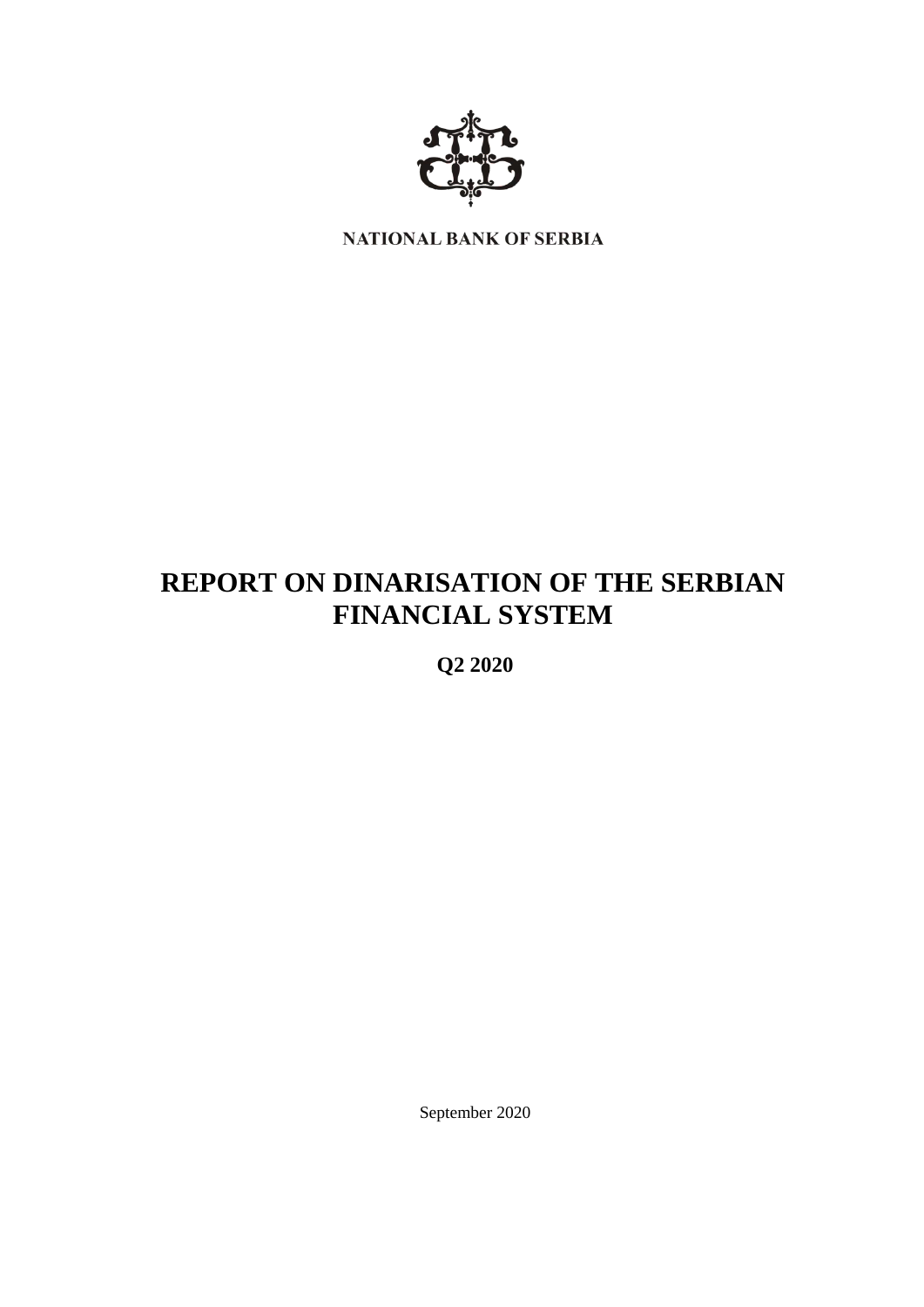

NATIONAL BANK OF SERBIA

# **REPORT ON DINARISATION OF THE SERBIAN FINANCIAL SYSTEM**

**Q2 2020**

September 2020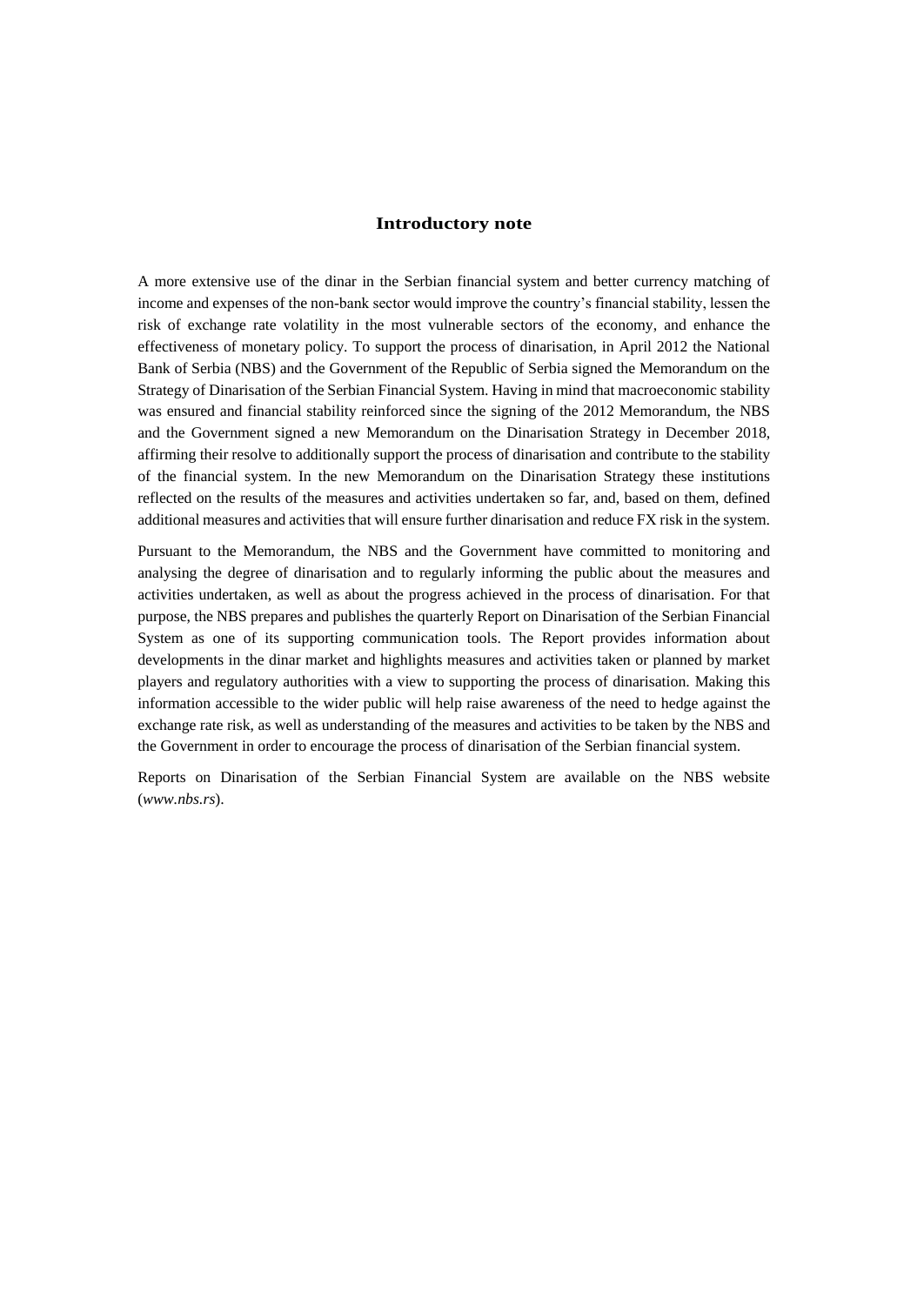## **Introductory note**

A more extensive use of the dinar in the Serbian financial system and better currency matching of income and expenses of the non-bank sector would improve the country's financial stability, lessen the risk of exchange rate volatility in the most vulnerable sectors of the economy, and enhance the effectiveness of monetary policy. To support the process of dinarisation, in April 2012 the National Bank of Serbia (NBS) and the Government of the Republic of Serbia signed the Memorandum on the Strategy of Dinarisation of the Serbian Financial System. Having in mind that macroeconomic stability was ensured and financial stability reinforced since the signing of the 2012 Memorandum, the NBS and the Government signed a new Memorandum on the Dinarisation Strategy in December 2018, affirming their resolve to additionally support the process of dinarisation and contribute to the stability of the financial system. In the new Memorandum on the Dinarisation Strategy these institutions reflected on the results of the measures and activities undertaken so far, and, based on them, defined additional measures and activities that will ensure further dinarisation and reduce FX risk in the system.

Pursuant to the Memorandum, the NBS and the Government have committed to monitoring and analysing the degree of dinarisation and to regularly informing the public about the measures and activities undertaken, as well as about the progress achieved in the process of dinarisation. For that purpose, the NBS prepares and publishes the quarterly Report on Dinarisation of the Serbian Financial System as one of its supporting communication tools. The Report provides information about developments in the dinar market and highlights measures and activities taken or planned by market players and regulatory authorities with a view to supporting the process of dinarisation. Making this information accessible to the wider public will help raise awareness of the need to hedge against the exchange rate risk, as well as understanding of the measures and activities to be taken by the NBS and the Government in order to encourage the process of dinarisation of the Serbian financial system.

Reports on Dinarisation of the Serbian Financial System are available on the NBS website (*www.nbs.rs*).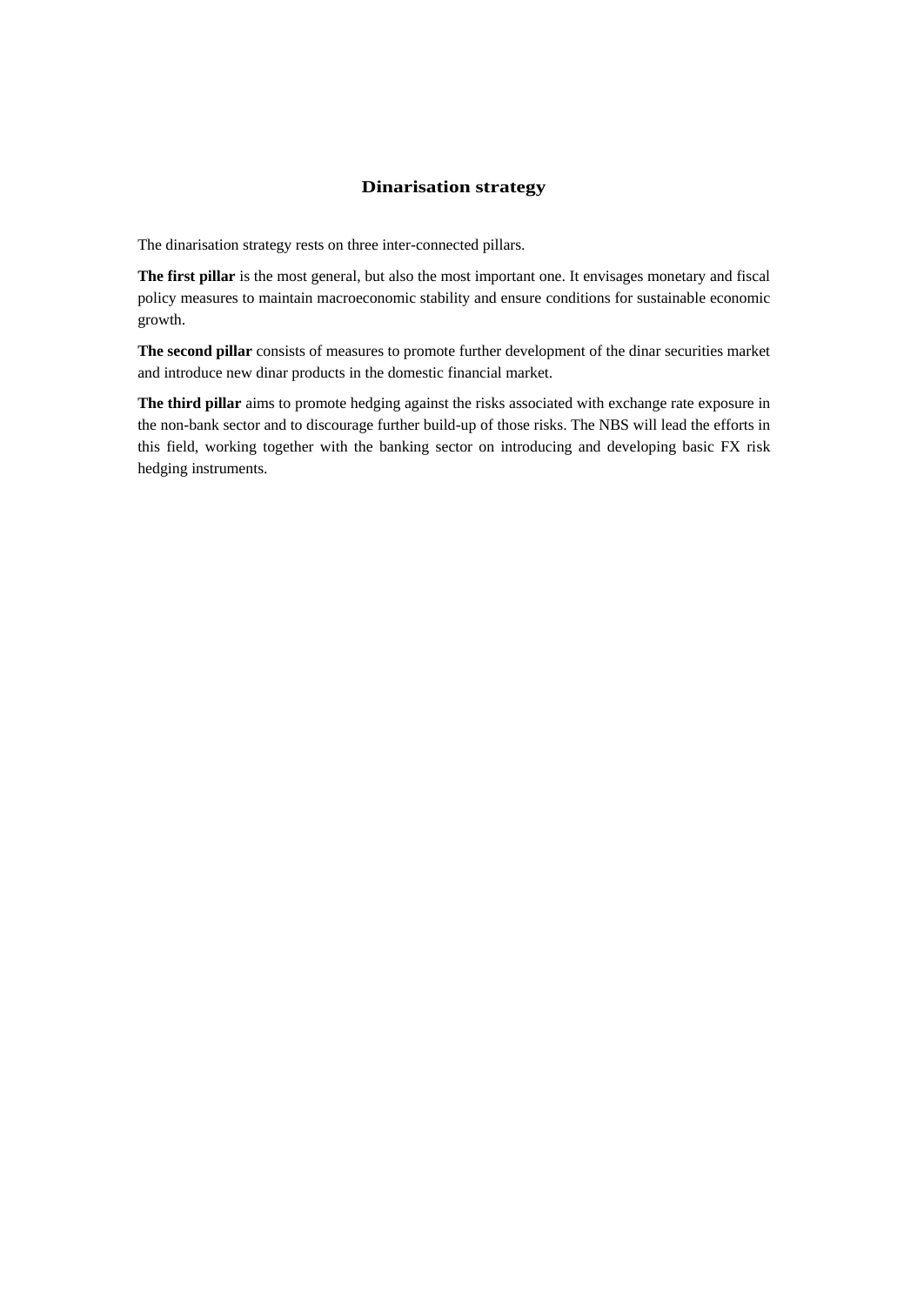## **Dinarisation strategy**

The dinarisation strategy rests on three inter-connected pillars.

**The first pillar** is the most general, but also the most important one. It envisages monetary and fiscal policy measures to maintain macroeconomic stability and ensure conditions for sustainable economic growth.

**The second pillar** consists of measures to promote further development of the dinar securities market and introduce new dinar products in the domestic financial market.

**The third pillar** aims to promote hedging against the risks associated with exchange rate exposure in the non-bank sector and to discourage further build-up of those risks. The NBS will lead the efforts in this field, working together with the banking sector on introducing and developing basic FX risk hedging instruments.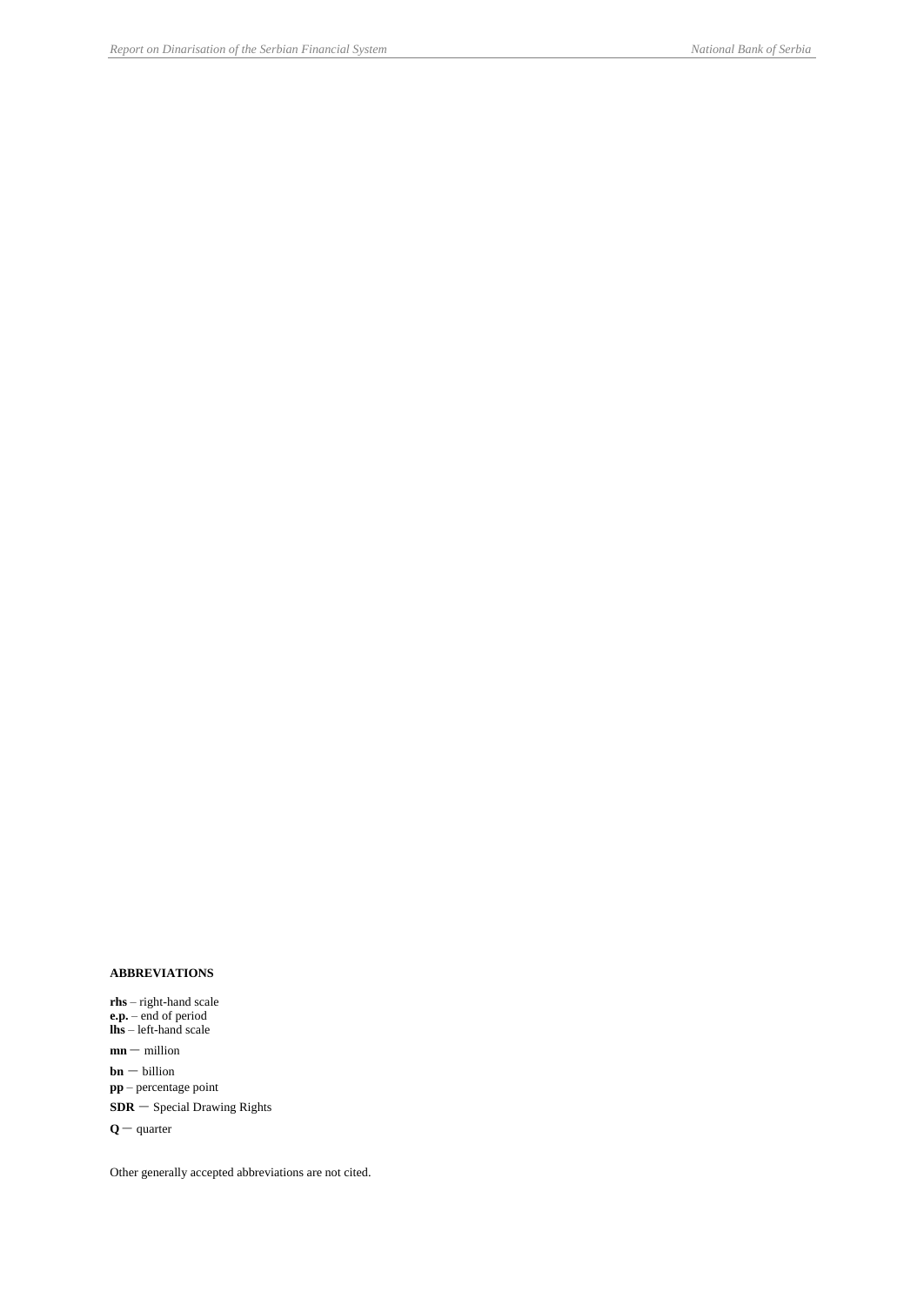#### **ABBREVIATIONS**

**rhs** – right-hand scale **e.p.** – end of period **lhs** – left-hand scale  $mn -$  million  $\ensuremath{\mathbf{bn}}$  — billion

**pp** – percentage point

**SDR** – Special Drawing Rights

**<sup>Q</sup>**– quarter

Other generally accepted abbreviations are not cited.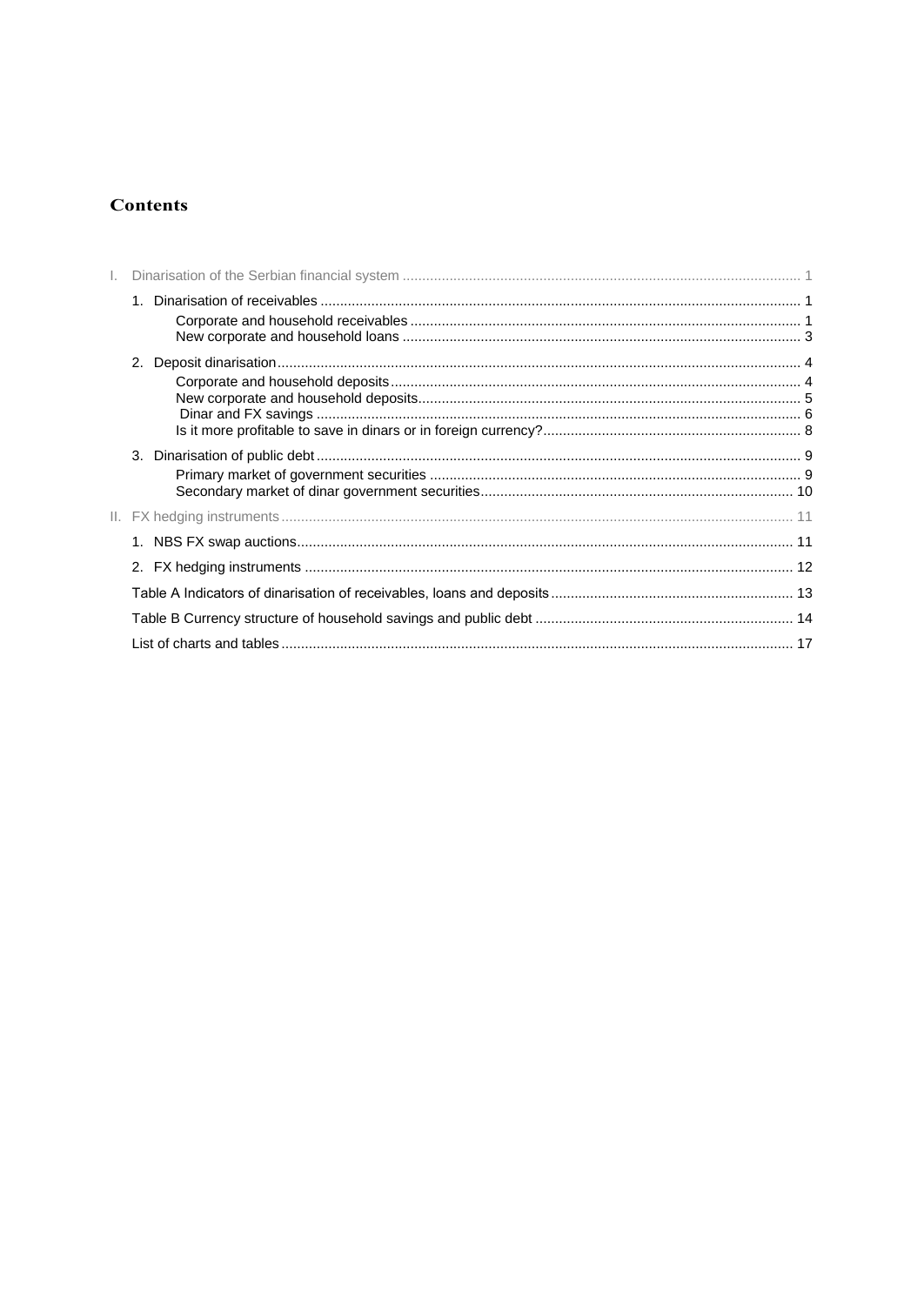## **Contents**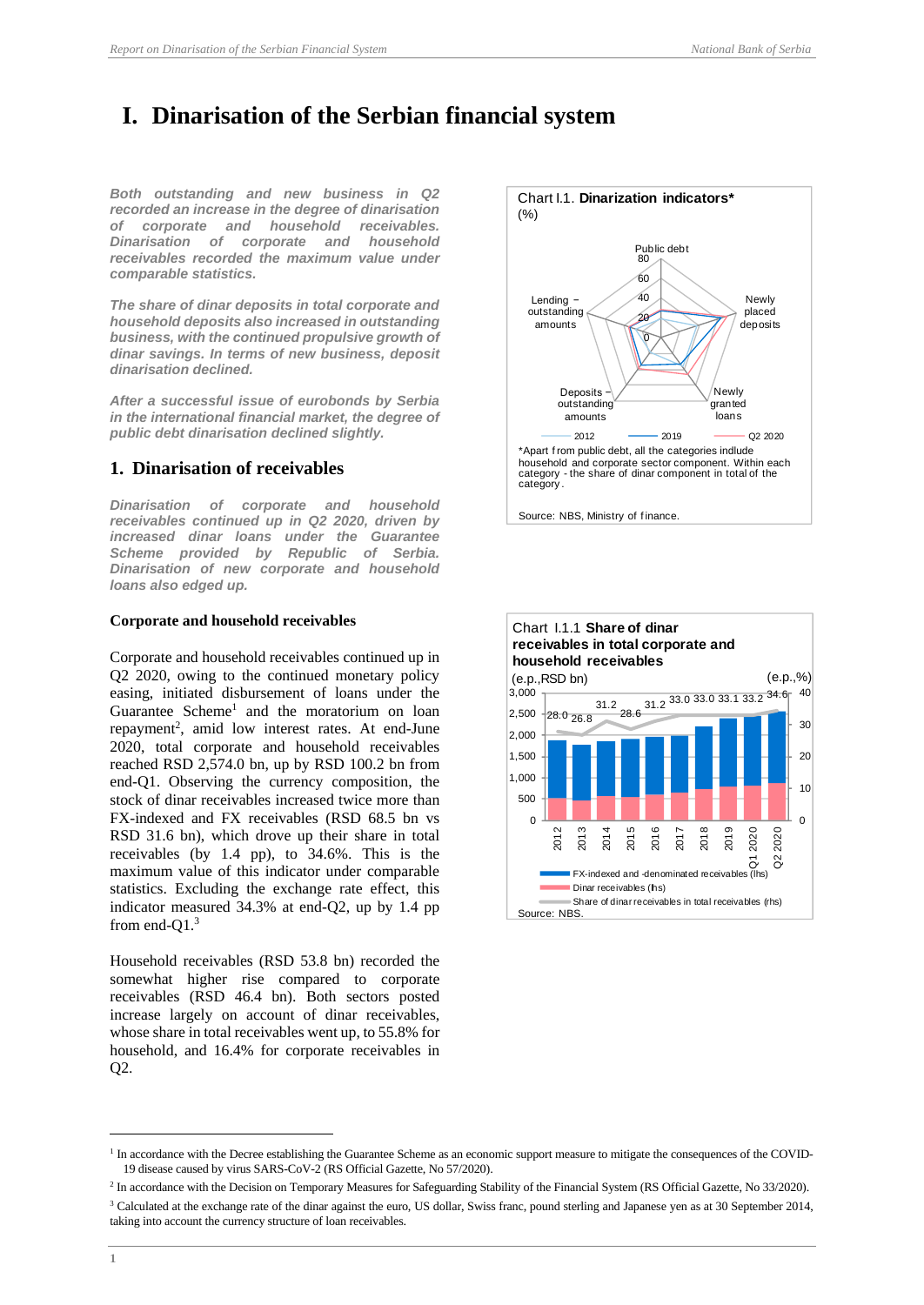## <span id="page-5-0"></span>**I. Dinarisation of the Serbian financial system**

*Both outstanding and new business in Q2 recorded an increase in the degree of dinarisation of corporate and household receivables. Dinarisation of corporate and household receivables recorded the maximum value under comparable statistics.*

*The share of dinar deposits in total corporate and household deposits also increased in outstanding business, with the continued propulsive growth of dinar savings. In terms of new business, deposit dinarisation declined.* 

*After a successful issue of eurobonds by Serbia in the international financial market, the degree of public debt dinarisation declined slightly.*

## <span id="page-5-1"></span>**1. Dinarisation of receivables**

*Dinarisation of corporate and household receivables continued up in Q2 2020, driven by increased dinar loans under the Guarantee Scheme provided by Republic of Serbia. Dinarisation of new corporate and household loans also edged up.* 

#### <span id="page-5-2"></span>**Corporate and household receivables**

Corporate and household receivables continued up in Q2 2020, owing to the continued monetary policy easing, initiated disbursement of loans under the Guarantee Scheme<sup>1</sup> and the moratorium on loan repayment<sup>2</sup>, amid low interest rates. At end-June 2020, total corporate and household receivables reached RSD 2,574.0 bn, up by RSD 100.2 bn from end-Q1. Observing the currency composition, the stock of dinar receivables increased twice more than FX-indexed and FX receivables (RSD 68.5 bn vs RSD 31.6 bn), which drove up their share in total receivables (by 1.4 pp), to 34.6%. This is the maximum value of this indicator under comparable statistics. Excluding the exchange rate effect, this indicator measured 34.3% at end-Q2, up by 1.4 pp from end-Q1.<sup>3</sup>

Household receivables (RSD 53.8 bn) recorded the somewhat higher rise compared to corporate receivables (RSD 46.4 bn). Both sectors posted increase largely on account of dinar receivables, whose share in total receivables went up, to 55.8% for household, and 16.4% for corporate receivables in Q2.





<sup>&</sup>lt;sup>1</sup> In accordance with the Decree establishing the Guarantee Scheme as an economic support measure to mitigate the consequences of the COVID-19 disease caused by virus SARS-CoV-2 (RS Official Gazette, No 57/2020).

<sup>&</sup>lt;sup>2</sup> In accordance with the Decision on Temporary Measures for Safeguarding Stability of the Financial System (RS Official Gazette, No 33/2020). <sup>3</sup> Calculated at the exchange rate of the dinar against the euro, US dollar, Swiss franc, pound sterling and Japanese yen as at 30 September 2014, taking into account the currency structure of loan receivables.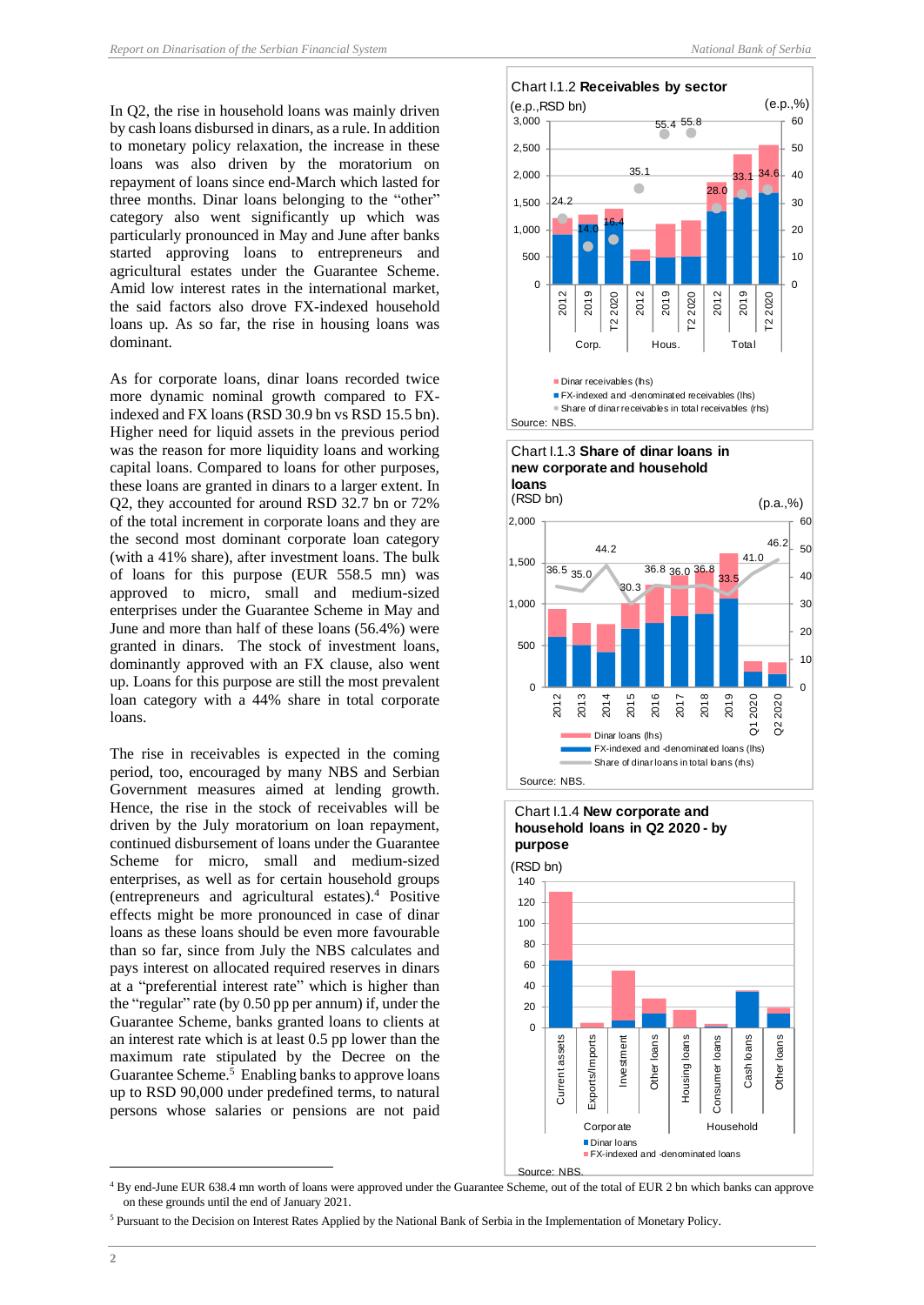In Q2, the rise in household loans was mainly driven by cash loans disbursed in dinars, as a rule. In addition to monetary policy relaxation, the increase in these loans was also driven by the moratorium on repayment of loans since end-March which lasted for three months. Dinar loans belonging to the "other" category also went significantly up which was particularly pronounced in May and June after banks started approving loans to entrepreneurs and agricultural estates under the Guarantee Scheme. Amid low interest rates in the international market, the said factors also drove FX-indexed household loans up. As so far, the rise in housing loans was dominant.

As for corporate loans, dinar loans recorded twice more dynamic nominal growth compared to FXindexed and FX loans (RSD 30.9 bn vs RSD 15.5 bn). Higher need for liquid assets in the previous period was the reason for more liquidity loans and working capital loans. Compared to loans for other purposes, these loans are granted in dinars to a larger extent. In Q2, they accounted for around RSD 32.7 bn or 72% of the total increment in corporate loans and they are the second most dominant corporate loan category (with a 41% share), after investment loans. The bulk of loans for this purpose (EUR 558.5 mn) was approved to micro, small and medium-sized enterprises under the Guarantee Scheme in May and June and more than half of these loans (56.4%) were granted in dinars. The stock of investment loans, dominantly approved with an FX clause, also went up. Loans for this purpose are still the most prevalent loan category with a 44% share in total corporate loans.

The rise in receivables is expected in the coming period, too, encouraged by many NBS and Serbian Government measures aimed at lending growth. Hence, the rise in the stock of receivables will be driven by the July moratorium on loan repayment, continued disbursement of loans under the Guarantee Scheme for micro, small and medium-sized enterprises, as well as for certain household groups (entrepreneurs and agricultural estates).<sup>4</sup> Positive effects might be more pronounced in case of dinar loans as these loans should be even more favourable than so far, since from July the NBS calculates and pays interest on allocated required reserves in dinars at a "preferential interest rate" which is higher than the "regular" rate (by 0.50 pp per annum) if, under the Guarantee Scheme, banks granted loans to clients at an interest rate which is at least 0.5 pp lower than the maximum rate stipulated by the Decree on the Guarantee Scheme.<sup>5</sup> Enabling banks to approve loans up to RSD 90,000 under predefined terms, to natural persons whose salaries or pensions are not paid







Source: NBS.

<sup>4</sup> By end-June EUR 638.4 mn worth of loans were approved under the Guarantee Scheme, out of the total of EUR 2 bn which banks can approve on these grounds until the end of January 2021.

<sup>5</sup> Pursuant to the Decision on Interest Rates Applied by the National Bank of Serbia in the Implementation of Monetary Policy.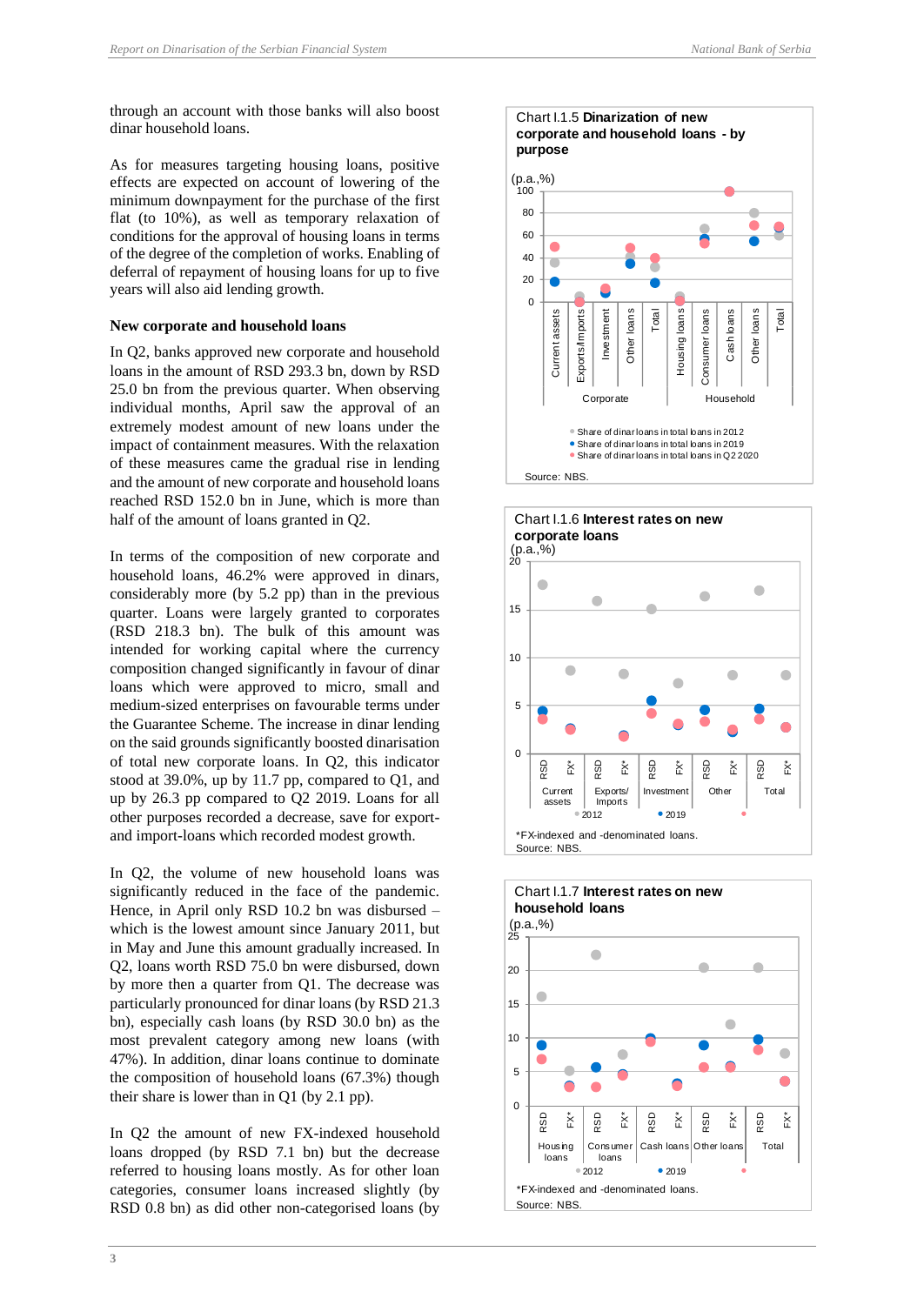through an account with those banks will also boost dinar household loans.

As for measures targeting housing loans, positive effects are expected on account of lowering of the minimum downpayment for the purchase of the first flat (to 10%), as well as temporary relaxation of conditions for the approval of housing loans in terms of the degree of the completion of works. Enabling of deferral of repayment of housing loans for up to five years will also aid lending growth.

#### <span id="page-7-0"></span>**New corporate and household loans**

In Q2, banks approved new corporate and household loans in the amount of RSD 293.3 bn, down by RSD 25.0 bn from the previous quarter. When observing individual months, April saw the approval of an extremely modest amount of new loans under the impact of containment measures. With the relaxation of these measures came the gradual rise in lending and the amount of new corporate and household loans reached RSD 152.0 bn in June, which is more than half of the amount of loans granted in Q2.

In terms of the composition of new corporate and household loans, 46.2% were approved in dinars, considerably more (by 5.2 pp) than in the previous quarter. Loans were largely granted to corporates (RSD 218.3 bn). The bulk of this amount was intended for working capital where the currency composition changed significantly in favour of dinar loans which were approved to micro, small and medium-sized enterprises on favourable terms under the Guarantee Scheme. The increase in dinar lending on the said grounds significantly boosted dinarisation of total new corporate loans. In Q2, this indicator stood at 39.0%, up by 11.7 pp, compared to Q1, and up by 26.3 pp compared to Q2 2019. Loans for all other purposes recorded a decrease, save for exportand import-loans which recorded modest growth.

In Q2, the volume of new household loans was significantly reduced in the face of the pandemic. Hence, in April only RSD 10.2 bn was disbursed – which is the lowest amount since January 2011, but in May and June this amount gradually increased. In Q2, loans worth RSD 75.0 bn were disbursed, down by more then a quarter from Q1. The decrease was particularly pronounced for dinar loans (by RSD 21.3 bn), especially cash loans (by RSD 30.0 bn) as the most prevalent category among new loans (with 47%). In addition, dinar loans continue to dominate the composition of household loans (67.3%) though their share is lower than in Q1 (by 2.1 pp).

In Q2 the amount of new FX-indexed household loans dropped (by RSD 7.1 bn) but the decrease referred to housing loans mostly. As for other loan categories, consumer loans increased slightly (by RSD 0.8 bn) as did other non-categorised loans (by





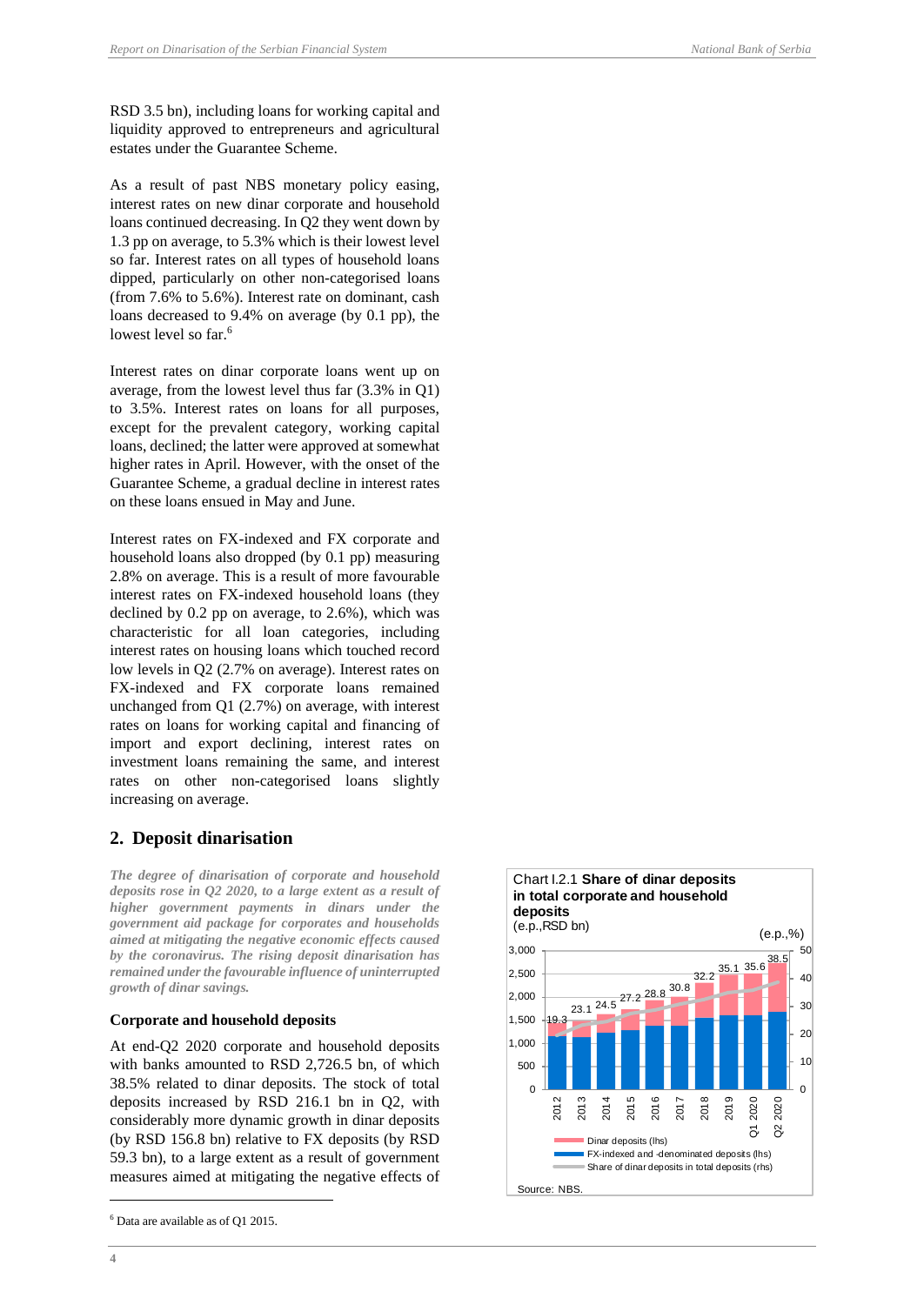RSD 3.5 bn), including loans for working capital and liquidity approved to entrepreneurs and agricultural estates under the Guarantee Scheme.

As a result of past NBS monetary policy easing, interest rates on new dinar corporate and household loans continued decreasing. In Q2 they went down by 1.3 pp on average, to 5.3% which is their lowest level so far. Interest rates on all types of household loans dipped, particularly on other non-categorised loans (from 7.6% to 5.6%). Interest rate on dominant, cash loans decreased to 9.4% on average (by 0.1 pp), the lowest level so far.<sup>6</sup>

Interest rates on dinar corporate loans went up on average, from the lowest level thus far (3.3% in Q1) to 3.5%. Interest rates on loans for all purposes, except for the prevalent category, working capital loans, declined; the latter were approved at somewhat higher rates in April. However, with the onset of the Guarantee Scheme, a gradual decline in interest rates on these loans ensued in May and June.

Interest rates on FX-indexed and FX corporate and household loans also dropped (by 0.1 pp) measuring 2.8% on average. This is a result of more favourable interest rates on FX-indexed household loans (they declined by 0.2 pp on average, to 2.6%), which was characteristic for all loan categories, including interest rates on housing loans which touched record low levels in Q2 (2.7% on average). Interest rates on FX-indexed and FX corporate loans remained unchanged from Q1 (2.7%) on average, with interest rates on loans for working capital and financing of import and export declining, interest rates on investment loans remaining the same, and interest rates on other non-categorised loans slightly increasing on average.

## <span id="page-8-0"></span>**2. Deposit dinarisation**

*The degree of dinarisation of corporate and household deposits rose in Q2 2020, to a large extent as a result of higher government payments in dinars under the government aid package for corporates and households aimed at mitigating the negative economic effects caused by the coronavirus. The rising deposit dinarisation has remained under the favourable influence of uninterrupted growth of dinar savings.* 

## <span id="page-8-1"></span>**Corporate and household deposits**

At end-Q2 2020 corporate and household deposits with banks amounted to RSD 2,726.5 bn, of which 38.5% related to dinar deposits. The stock of total deposits increased by RSD 216.1 bn in Q2, with considerably more dynamic growth in dinar deposits (by RSD 156.8 bn) relative to FX deposits (by RSD 59.3 bn), to a large extent as a result of government measures aimed at mitigating the negative effects of



 $6$  Data are available as of Q1 2015.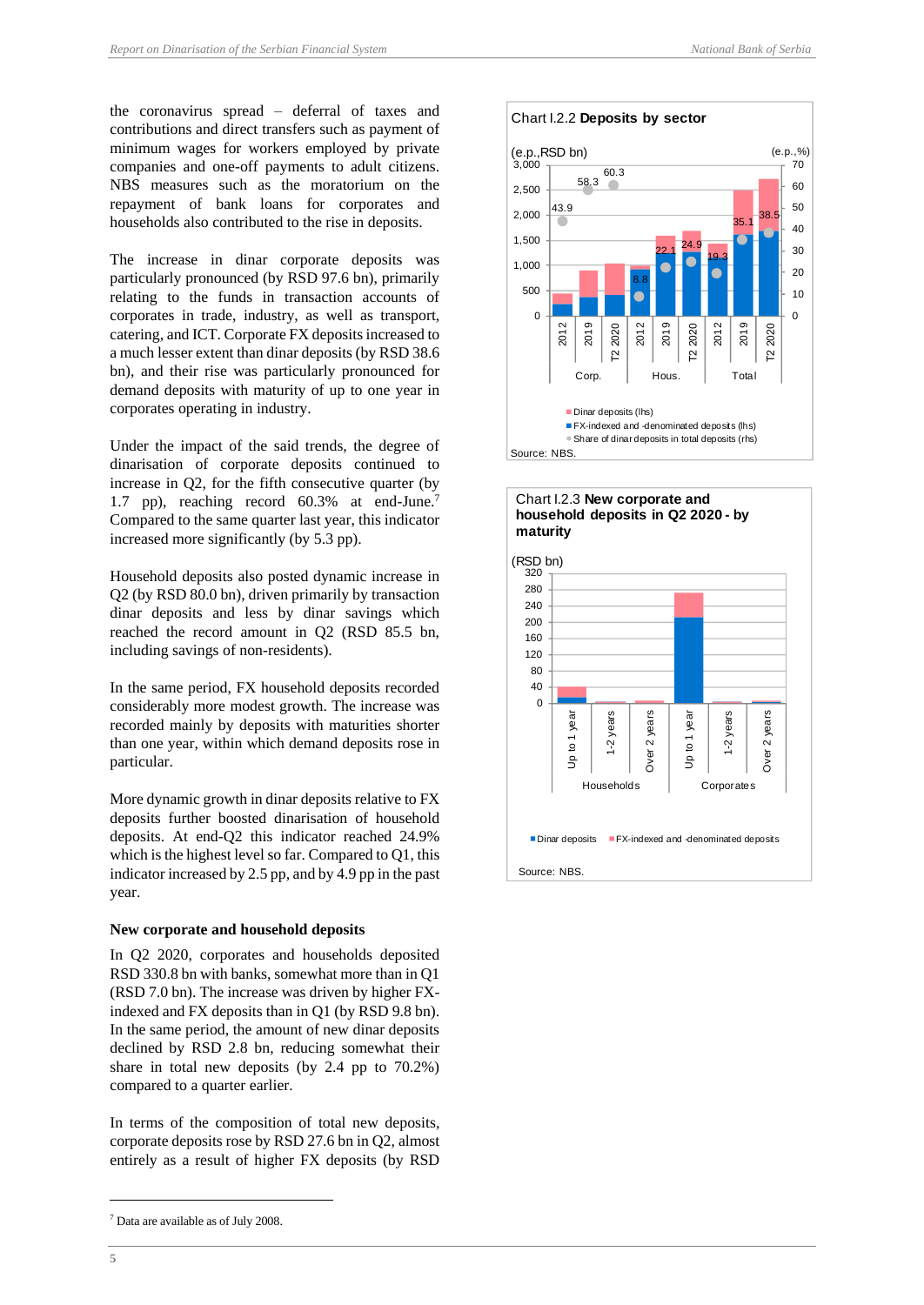the coronavirus spread – deferral of taxes and contributions and direct transfers such as payment of minimum wages for workers employed by private companies and one-off payments to adult citizens. NBS measures such as the moratorium on the repayment of bank loans for corporates and households also contributed to the rise in deposits.

The increase in dinar corporate deposits was particularly pronounced (by RSD 97.6 bn), primarily relating to the funds in transaction accounts of corporates in trade, industry, as well as transport, catering, and ICT. Corporate FX deposits increased to a much lesser extent than dinar deposits (by RSD 38.6 bn), and their rise was particularly pronounced for demand deposits with maturity of up to one year in corporates operating in industry.

Under the impact of the said trends, the degree of dinarisation of corporate deposits continued to increase in Q2, for the fifth consecutive quarter (by 1.7 pp), reaching record 60.3% at end-June.<sup>7</sup> Compared to the same quarter last year, this indicator increased more significantly (by 5.3 pp).

Household deposits also posted dynamic increase in Q2 (by RSD 80.0 bn), driven primarily by transaction dinar deposits and less by dinar savings which reached the record amount in Q2 (RSD 85.5 bn, including savings of non-residents).

In the same period, FX household deposits recorded considerably more modest growth. The increase was recorded mainly by deposits with maturities shorter than one year, within which demand deposits rose in particular.

More dynamic growth in dinar deposits relative to FX deposits further boosted dinarisation of household deposits. At end-Q2 this indicator reached 24.9% which is the highest level so far. Compared to Q1, this indicator increased by 2.5 pp, and by 4.9 pp in the past year.

#### <span id="page-9-0"></span>**New corporate and household deposits**

In Q2 2020, corporates and households deposited RSD 330.8 bn with banks, somewhat more than in Q1 (RSD 7.0 bn). The increase was driven by higher FXindexed and FX deposits than in Q1 (by RSD 9.8 bn). In the same period, the amount of new dinar deposits declined by RSD 2.8 bn, reducing somewhat their share in total new deposits (by 2.4 pp to 70.2%) compared to a quarter earlier.

In terms of the composition of total new deposits, corporate deposits rose by RSD 27.6 bn in Q2, almost entirely as a result of higher FX deposits (by RSD



Chart I.2.2 **Deposits by sector**





<sup>7</sup> Data are available as of July 2008.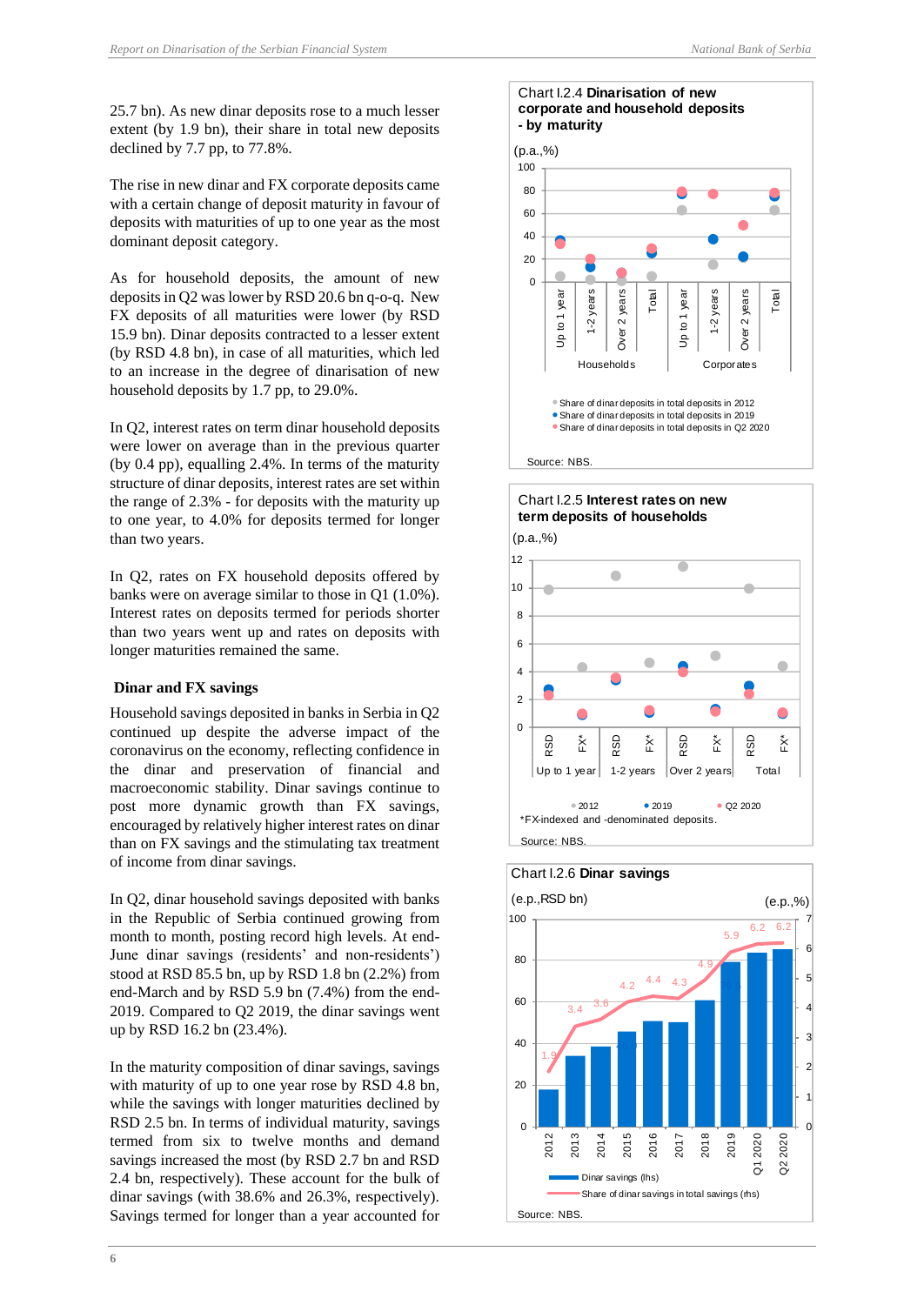25.7 bn). As new dinar deposits rose to a much lesser extent (by 1.9 bn), their share in total new deposits declined by 7.7 pp, to 77.8%.

The rise in new dinar and FX corporate deposits came with a certain change of deposit maturity in favour of deposits with maturities of up to one year as the most dominant deposit category.

As for household deposits, the amount of new deposits in Q2 was lower by RSD 20.6 bn q-o-q. New FX deposits of all maturities were lower (by RSD 15.9 bn). Dinar deposits contracted to a lesser extent (by RSD 4.8 bn), in case of all maturities, which led to an increase in the degree of dinarisation of new household deposits by 1.7 pp, to 29.0%.

In Q2, interest rates on term dinar household deposits were lower on average than in the previous quarter (by 0.4 pp), equalling 2.4%. In terms of the maturity structure of dinar deposits, interest rates are set within the range of 2.3% - for deposits with the maturity up to one year, to 4.0% for deposits termed for longer than two years.

In Q2, rates on FX household deposits offered by banks were on average similar to those in Q1 (1.0%). Interest rates on deposits termed for periods shorter than two years went up and rates on deposits with longer maturities remained the same.

## <span id="page-10-0"></span>**Dinar and FX savings**

Household savings deposited in banks in Serbia in Q2 continued up despite the adverse impact of the coronavirus on the economy, reflecting confidence in the dinar and preservation of financial and macroeconomic stability. Dinar savings continue to post more dynamic growth than FX savings, encouraged by relatively higher interest rates on dinar than on FX savings and the stimulating tax treatment of income from dinar savings.

In Q2, dinar household savings deposited with banks in the Republic of Serbia continued growing from month to month, posting record high levels. At end-June dinar savings (residents' and non-residents') stood at RSD 85.5 bn, up by RSD 1.8 bn (2.2%) from end-March and by RSD 5.9 bn (7.4%) from the end-2019. Compared to Q2 2019, the dinar savings went up by RSD 16.2 bn (23.4%).

In the maturity composition of dinar savings, savings with maturity of up to one year rose by RSD 4.8 bn, while the savings with longer maturities declined by RSD 2.5 bn. In terms of individual maturity, savings termed from six to twelve months and demand savings increased the most (by RSD 2.7 bn and RSD 2.4 bn, respectively). These account for the bulk of dinar savings (with 38.6% and 26.3%, respectively). Savings termed for longer than a year accounted for

#### Chart I.2.4 **Dinarisation of new corporate and household deposits - by maturity**





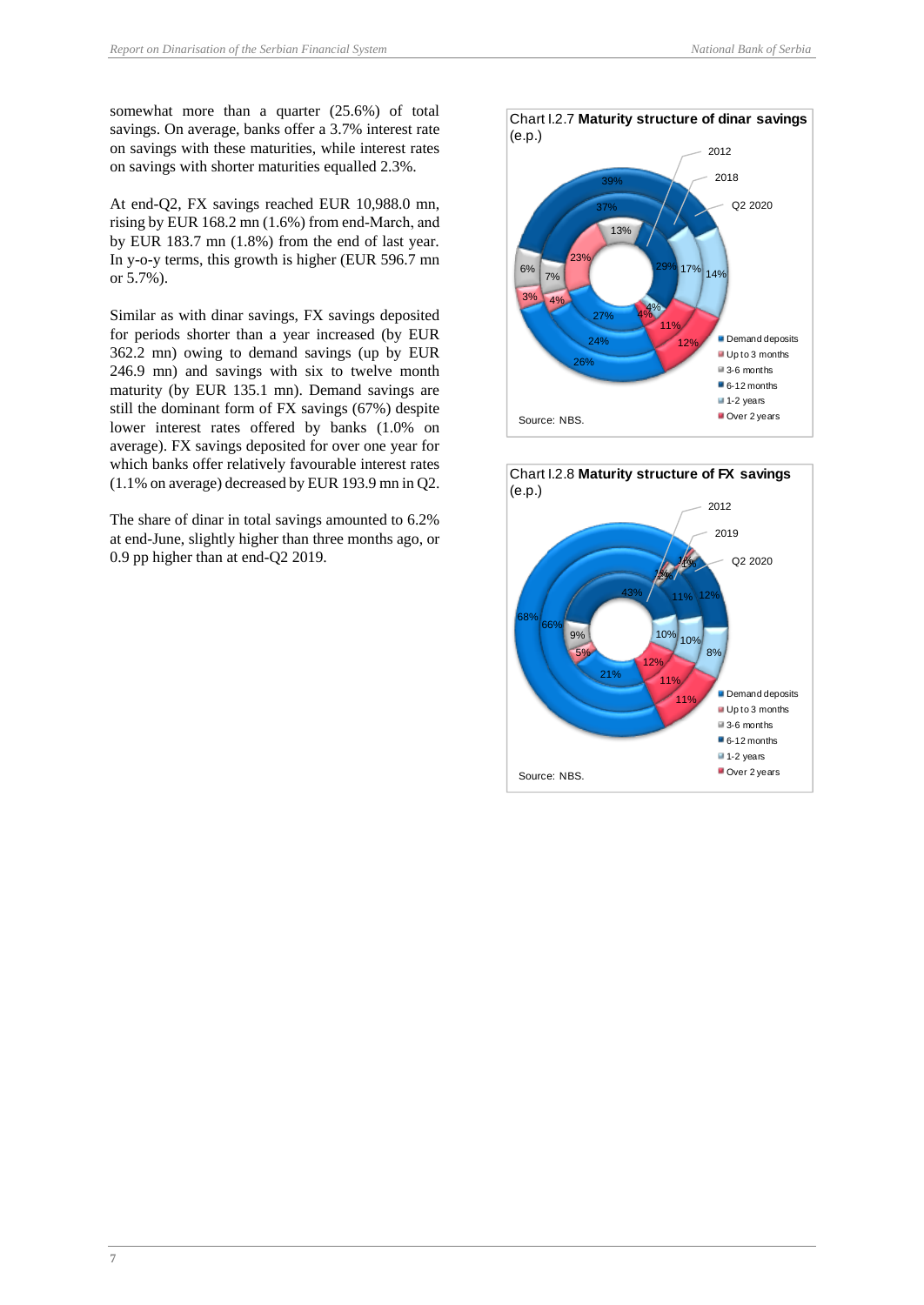somewhat more than a quarter (25.6%) of total savings. On average, banks offer a 3.7% interest rate on savings with these maturities, while interest rates on savings with shorter maturities equalled 2.3%.

At end-Q2, FX savings reached EUR 10,988.0 mn, rising by EUR 168.2 mn (1.6%) from end-March, аnd by EUR 183.7 mn (1.8%) from the end of last year. In y-o-y terms, this growth is higher (EUR 596.7 mn or 5.7%).

Similar as with dinar savings, FX savings deposited for periods shorter than a year increased (by EUR 362.2 mn) owing to demand savings (up by EUR 246.9 mn) and savings with six to twelve month maturity (by EUR 135.1 mn). Demand savings are still the dominant form of FX savings (67%) despite lower interest rates offered by banks (1.0% on average). FX savings deposited for over one year for which banks offer relatively favourable interest rates (1.1% on average) decreased by EUR 193.9 mn in Q2.

The share of dinar in total savings amounted to 6.2% at end-June, slightly higher than three months ago, or 0.9 pp higher than at end-Q2 2019.



24%

26%

Source: NBS.



**Demand deposits** Up to 3 months ■ 3-6 months ■ 6-12 months 1-2 years Over 2 years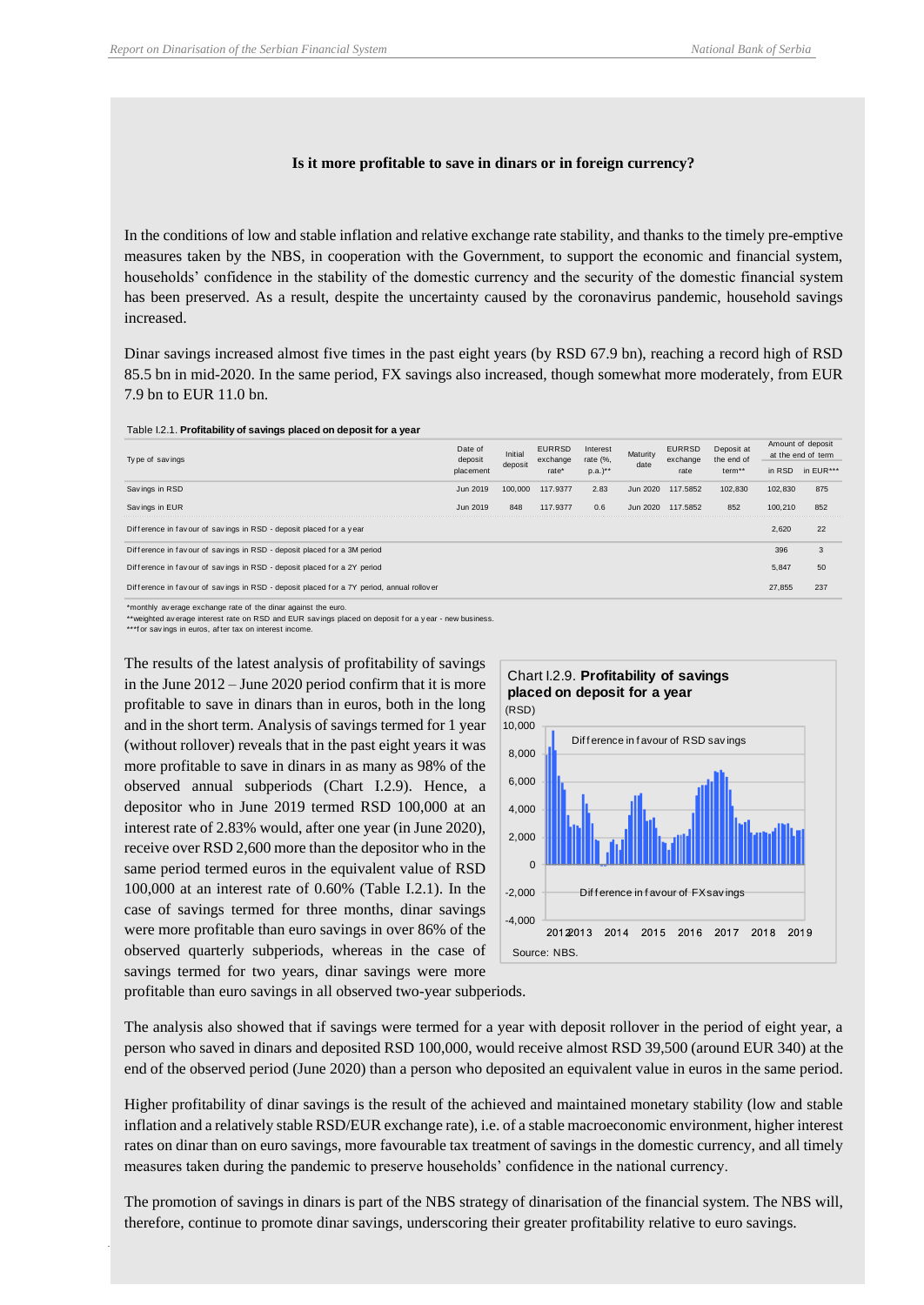#### **Is it more profitable to save in dinars or in foreign currency?**

<span id="page-12-0"></span>In the conditions of low and stable inflation and relative exchange rate stability, and thanks to the timely pre-emptive measures taken by the NBS, in cooperation with the Government, to support the economic and financial system, households' confidence in the stability of the domestic currency and the security of the domestic financial system has been preserved. As a result, despite the uncertainty caused by the coronavirus pandemic, household savings increased.

Dinar savings increased almost five times in the past eight years (by RSD 67.9 bn), reaching a record high of RSD 85.5 bn in mid-2020. In the same period, FX savings also increased, though somewhat more moderately, from EUR 7.9 bn to EUR 11.0 bn.

#### Table I.2.1. **Profitability of savings placed on deposit for a year**

| Type of savings                                                                          | Date of<br>deposit | Initial | <b>EURRSD</b><br>exchange | Interest<br>rate (%, | Maturity | <b>EURRSD</b><br>exchange | Deposit at<br>the end of | Amount of deposit<br>at the end of term                         |           |
|------------------------------------------------------------------------------------------|--------------------|---------|---------------------------|----------------------|----------|---------------------------|--------------------------|-----------------------------------------------------------------|-----------|
|                                                                                          | placement          | deposit | rate*                     | $p.a.$ )**           | date     | rate                      | term**                   | in RSD<br>102.830<br>100,210<br>2.620<br>396<br>5.847<br>27.855 | in EUR*** |
| Savings in RSD                                                                           | Jun 2019           | 100,000 | 117.9377                  | 2.83                 | Jun 2020 | 117,5852                  | 102.830                  |                                                                 | 875       |
| Savings in EUR                                                                           | Jun 2019           | 848     | 117.9377                  | 0.6                  | Jun 2020 | 117,5852                  | 852                      |                                                                 | 852       |
| Difference in favour of savings in RSD - deposit placed for a year                       |                    |         |                           |                      |          |                           |                          |                                                                 | 22        |
| Difference in favour of savings in RSD - deposit placed for a 3M period                  |                    |         |                           |                      |          |                           |                          |                                                                 | 3         |
| Difference in favour of savings in RSD - deposit placed for a 2Y period                  |                    |         |                           |                      |          |                           |                          |                                                                 | 50        |
| Difference in favour of savings in RSD - deposit placed for a 7Y period, annual rollover |                    |         |                           |                      |          |                           |                          |                                                                 | 237       |

\*monthly av erage exchange rate of the dinar against the euro.

\*\*weighted av erage interest rate on RSD and EUR sav ings placed on deposit f or a y ear - new business.

\*\*\*f or savings in euros, after tax on interest income.

The results of the latest analysis of profitability of savings in the June 2012 – June 2020 period confirm that it is more profitable to save in dinars than in euros, both in the long and in the short term. Analysis of savings termed for 1 year (without rollover) reveals that in the past eight years it was more profitable to save in dinars in as many as 98% of the observed annual subperiods (Chart I.2.9). Hence, a depositor who in June 2019 termed RSD 100,000 at an interest rate of 2.83% would, after one year (in June 2020), receive over RSD 2,600 more than the depositor who in the same period termed euros in the equivalent value of RSD 100,000 at an interest rate of 0.60% (Table I.2.1). In the case of savings termed for three months, dinar savings were more profitable than euro savings in over 86% of the observed quarterly subperiods, whereas in the case of savings termed for two years, dinar savings were more there are<br>
therefore, continue to promote dinar savings and the same of the same of the savings of the properties<br>
of the material continue to the same of the same of the same of the same of the same of the same of the sa



profitable than euro savings in all observed two-year subperiods.

The analysis also showed that if savings were termed for a year with deposit rollover in the period of eight year, a person who saved in dinars and deposited RSD 100,000, would receive almost RSD 39,500 (around EUR 340) at the end of the observed period (June 2020) than a person who deposited an equivalent value in euros in the same period.

Higher profitability of dinar savings is the result of the achieved and maintained monetary stability (low and stable inflation and a relatively stable RSD/EUR exchange rate), i.e. of a stable macroeconomic environment, higher interest rates on dinar than on euro savings, more favourable tax treatment of savings in the domestic currency, and all timely measures taken during the pandemic to preserve households' confidence in the national currency.

The promotion of savings in dinars is part of the NBS strategy of dinarisation of the financial system. The NBS will,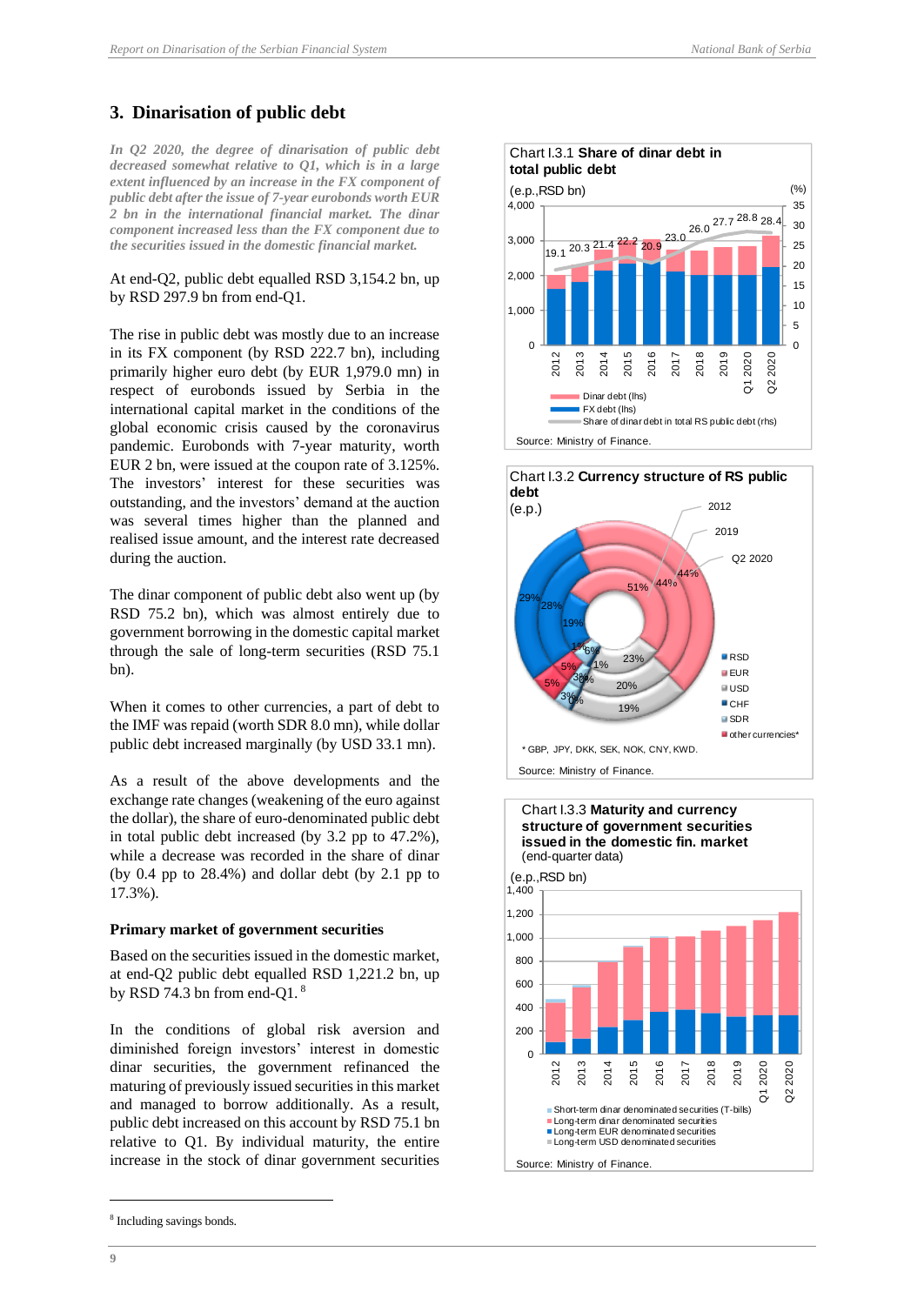## <span id="page-13-0"></span>**3. Dinarisation of public debt**

*In Q2 2020, the degree of dinarisation of public debt decreased somewhat relative to Q1, which is in a large extent influenced by an increase in the FX component of public debt after the issue of 7-year eurobonds worth EUR 2 bn in the international financial market. The dinar component increased less than the FX component due to the securities issued in the domestic financial market.* 

#### At end-Q2, public debt equalled RSD 3,154.2 bn, up by RSD 297.9 bn from end-Q1.

The rise in public debt was mostly due to an increase in its FX component (by RSD 222.7 bn), including primarily higher euro debt (by EUR 1,979.0 mn) in respect of eurobonds issued by Serbia in the international capital market in the conditions of the global economic crisis caused by the coronavirus pandemic. Eurobonds with 7-year maturity, worth EUR 2 bn, were issued at the coupon rate of 3.125%. The investors' interest for these securities was outstanding, and the investors' demand at the auction was several times higher than the planned and realised issue amount, and the interest rate decreased during the auction.

The dinar component of public debt also went up (by RSD 75.2 bn), which was almost entirely due to government borrowing in the domestic capital market through the sale of long-term securities (RSD 75.1 bn).

When it comes to other currencies, a part of debt to the IMF was repaid (worth SDR 8.0 mn), while dollar public debt increased marginally (by USD 33.1 mn).

As a result of the above developments and the exchange rate changes (weakening of the euro against the dollar), the share of euro-denominated public debt in total public debt increased (by 3.2 pp to 47.2%), while a decrease was recorded in the share of dinar (by 0.4 pp to 28.4%) and dollar debt (by 2.1 pp to 17.3%).

#### <span id="page-13-1"></span>**Primary market of government securities**

Based on the securities issued in the domestic market, at end-Q2 public debt equalled RSD 1,221.2 bn, up by RSD 74.3 bn from end-Q1.<sup>8</sup>

In the conditions of global risk aversion and diminished foreign investors' interest in domestic dinar securities, the government refinanced the maturing of previously issued securities in this market and managed to borrow additionally. As a result, public debt increased on this account by RSD 75.1 bn relative to Q1. By individual maturity, the entire increase in the stock of dinar government securities









**9**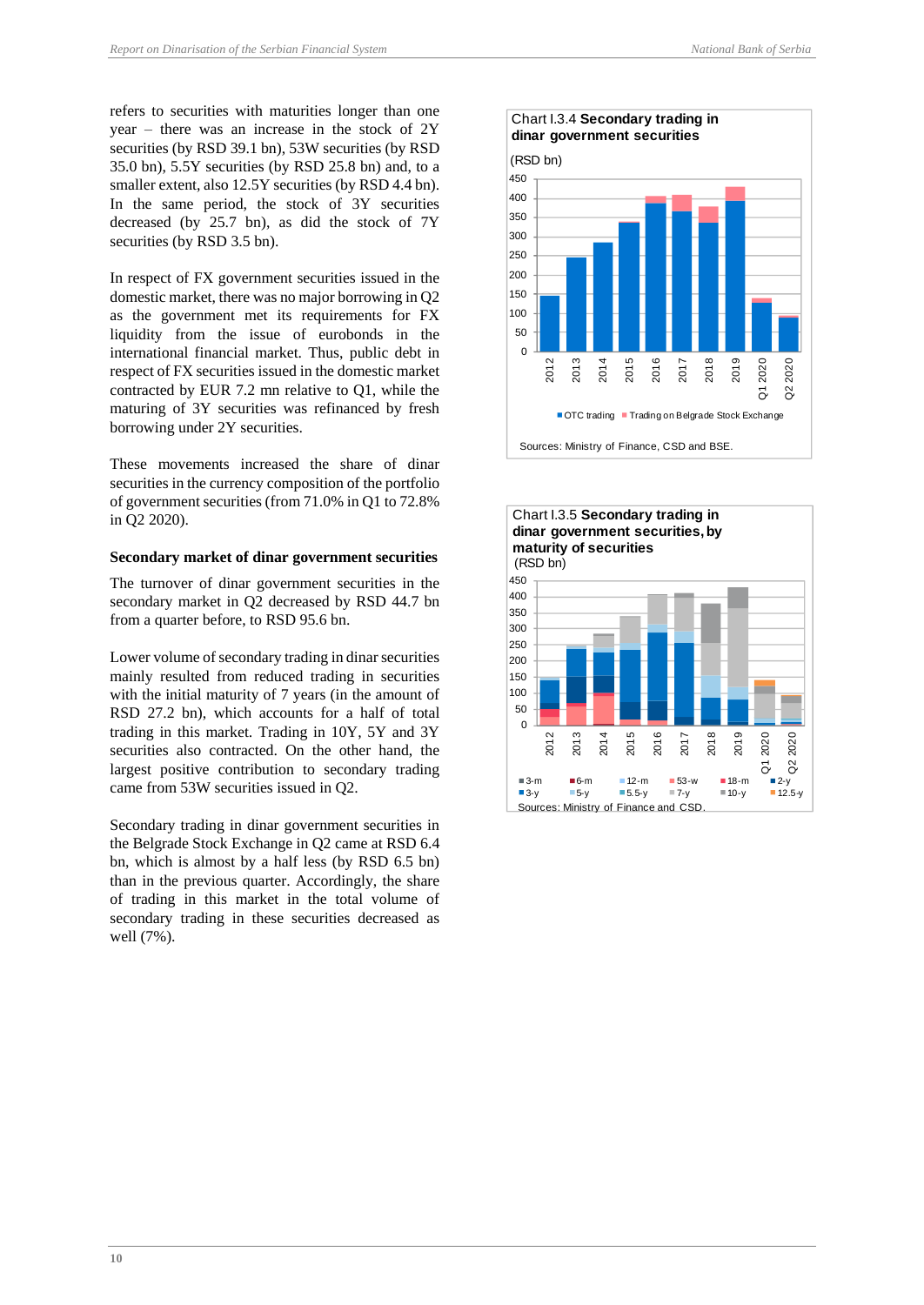refers to securities with maturities longer than one year – there was an increase in the stock of 2Y securities (by RSD 39.1 bn), 53W securities (by RSD 35.0 bn), 5.5Y securities (by RSD 25.8 bn) and, to a smaller extent, also 12.5Y securities (by RSD 4.4 bn). In the same period, the stock of 3Y securities decreased (by 25.7 bn), as did the stock of 7Y securities (by RSD 3.5 bn).

In respect of FX government securities issued in the domestic market, there was no major borrowing in Q2 as the government met its requirements for FX liquidity from the issue of eurobonds in the international financial market. Thus, public debt in respect of FX securities issued in the domestic market contracted by EUR 7.2 mn relative to Q1, while the maturing of 3Y securities was refinanced by fresh borrowing under 2Y securities.

These movements increased the share of dinar securities in the currency composition of the portfolio of government securities (from 71.0% in Q1 to 72.8% in Q2 2020).

#### <span id="page-14-0"></span>**Secondary market of dinar government securities**

The turnover of dinar government securities in the secondary market in Q2 decreased by RSD 44.7 bn from a quarter before, to RSD 95.6 bn.

Lower volume of secondary trading in dinar securities mainly resulted from reduced trading in securities with the initial maturity of 7 years (in the amount of RSD 27.2 bn), which accounts for a half of total trading in this market. Trading in 10Y, 5Y and 3Y securities also contracted. On the other hand, the largest positive contribution to secondary trading came from 53W securities issued in Q2.

Secondary trading in dinar government securities in the Belgrade Stock Exchange in Q2 came at RSD 6.4 bn, which is almost by a half less (by RSD 6.5 bn) than in the previous quarter. Accordingly, the share of trading in this market in the total volume of secondary trading in these securities decreased as well (7%).



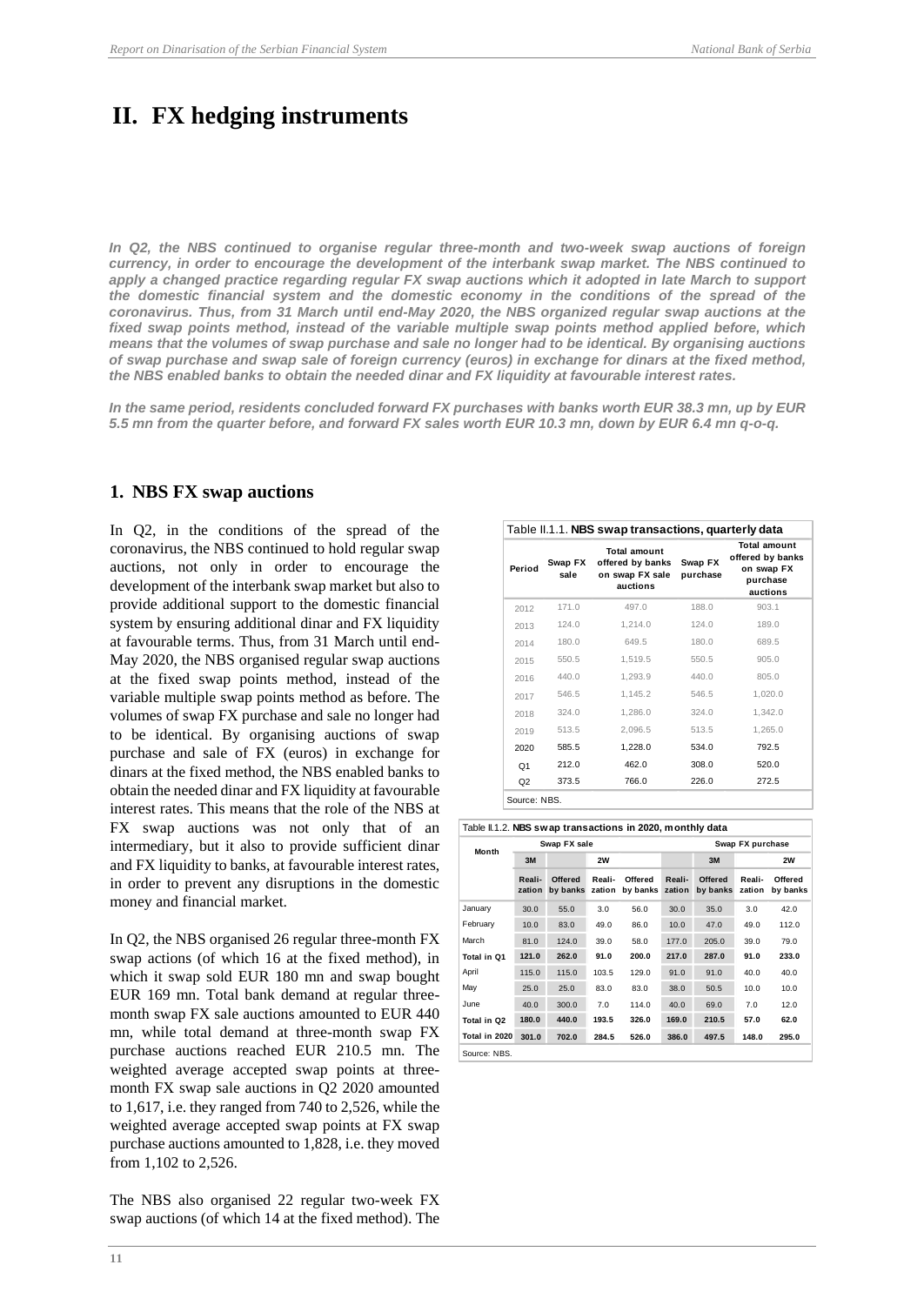## <span id="page-15-0"></span>**II. FX hedging instruments**

*In Q2, the NBS continued to organise regular three-month and two-week swap auctions of foreign currency, in order to encourage the development of the interbank swap market. The NBS continued to*  apply a changed practice regarding regular FX swap auctions which it adopted in late March to support *the domestic financial system and the domestic economy in the conditions of the spread of the coronavirus. Thus, from 31 March until end-May 2020, the NBS organized regular swap auctions at the fixed swap points method, instead of the variable multiple swap points method applied before, which means that the volumes of swap purchase and sale no longer had to be identical. By organising auctions of swap purchase and swap sale of foreign currency (euros) in exchange for dinars at the fixed method, the NBS enabled banks to obtain the needed dinar and FX liquidity at favourable interest rates.* 

*In the same period, residents concluded forward FX purchases with banks worth EUR 38.3 mn, up by EUR 5.5 mn from the quarter before, and forward FX sales worth EUR 10.3 mn, down by EUR 6.4 mn q-o-q.*

## <span id="page-15-1"></span>**1. NBS FX swap auctions**

In Q2, in the conditions of the spread of the coronavirus, the NBS continued to hold regular swap auctions, not only in order to encourage the development of the interbank swap market but also to provide additional support to the domestic financial system by ensuring additional dinar and FX liquidity at favourable terms. Thus, from 31 March until end-May 2020, the NBS organised regular swap auctions at the fixed swap points method, instead of the variable multiple swap points method as before. The volumes of swap FX purchase and sale no longer had to be identical. By organising auctions of swap purchase and sale of FX (euros) in exchange for dinars at the fixed method, the NBS enabled banks to obtain the needed dinar and FX liquidity at favourable interest rates. This means that the role of the NBS at FX swap auctions was not only that of an intermediary, but it also to provide sufficient dinar and FX liquidity to banks, at favourable interest rates, in order to prevent any disruptions in the domestic money and financial market.

In Q2, the NBS organised 26 regular three-month FX swap actions (of which 16 at the fixed method), in which it swap sold EUR 180 mn and swap bought EUR 169 mn. Total bank demand at regular threemonth swap FX sale auctions amounted to EUR 440 mn, while total demand at three-month swap FX purchase auctions reached EUR 210.5 mn. The weighted average accepted swap points at threemonth FX swap sale auctions in Q2 2020 amounted to 1,617, i.e. they ranged from 740 to 2,526, while the weighted average accepted swap points at FX swap purchase auctions amounted to 1,828, i.e. they moved from 1,102 to 2,526.

The NBS also organised 22 regular two-week FX swap auctions (of which 14 at the fixed method). The

| Period         | Swap FX<br>sale | <b>Total amount</b><br>offered by banks<br>on swap FX sale<br>auctions | Swap FX<br>purchase | <b>Total amount</b><br>offered by banks<br>on swap FX<br>purchase<br>auctions |
|----------------|-----------------|------------------------------------------------------------------------|---------------------|-------------------------------------------------------------------------------|
| 2012           | 171.0           | 497.0                                                                  | 188.0               | 903.1                                                                         |
| 2013           | 124.0           | 1,214.0                                                                | 124.0               | 189.0                                                                         |
| 2014           | 180.0           | 649.5                                                                  | 180.0               | 689.5                                                                         |
| 2015           | 550.5           | 1,519.5                                                                | 550.5               | 905.0                                                                         |
| 2016           | 440.0           | 1.293.9                                                                | 440.0               | 805.0                                                                         |
| 2017           | 546.5           | 1.145.2                                                                | 546.5               | 1,020.0                                                                       |
| 2018           | 324.0           | 1,286.0                                                                | 324.0               | 1,342.0                                                                       |
| 2019           | 513.5           | 2,096.5                                                                | 513.5               | 1,265.0                                                                       |
| 2020           | 585.5           | 1,228.0                                                                | 534.0               | 792.5                                                                         |
| Q <sub>1</sub> | 212.0           | 462.0                                                                  | 308.0               | 520.0                                                                         |
| Q2             | 373.5           | 766.0                                                                  | 226.0               | 272.5                                                                         |

|               | Table II.1.2. NBS swap transactions in 2020, monthly data |                            |                  |                     |                  |                            |                  |                     |
|---------------|-----------------------------------------------------------|----------------------------|------------------|---------------------|------------------|----------------------------|------------------|---------------------|
| Month         |                                                           | Swap FX sale               |                  |                     | Swap FX purchase |                            |                  |                     |
|               | 3M                                                        |                            | 2W               |                     |                  | 3M                         |                  | 2W                  |
|               | Reali-<br>zation                                          | <b>Offered</b><br>by banks | Reali-<br>zation | Offered<br>by banks | Reali-<br>zation | <b>Offered</b><br>by banks | Reali-<br>zation | Offered<br>by banks |
| January       | 30.0                                                      | 55.0                       | 3.0              | 56.0                | 30.0             | 35.0                       | 3.0              | 42.0                |
| February      | 10.0                                                      | 83.0                       | 49.0             | 86.0                | 10.0             | 47.0                       | 49.0             | 112.0               |
| March         | 81.0                                                      | 124.0                      | 39.0             | 58.0                | 177.0            | 205.0                      | 39.0             | 79.0                |
| Total in Q1   | 121.0                                                     | 262.0                      | 91.0             | 200.0               | 217.0            | 287.0                      | 91.0             | 233.0               |
| April         | 115.0                                                     | 115.0                      | 103.5            | 129.0               | 91.0             | 91.0                       | 40.0             | 40.0                |
| May           | 25.0                                                      | 25.0                       | 83.0             | 83.0                | 38.0             | 50.5                       | 10.0             | 10.0                |
| June          | 40.0                                                      | 300.0                      | 7.0              | 114.0               | 40.0             | 69.0                       | 7.0              | 12.0                |
| Total in Q2   | 180.0                                                     | 440.0                      | 193.5            | 326.0               | 169.0            | 210.5                      | 57.0             | 62.0                |
| Total in 2020 | 301.0                                                     | 702.0                      | 284.5            | 526.0               | 386.0            | 497.5                      | 148.0            | 295.0               |
| Source: NBS.  |                                                           |                            |                  |                     |                  |                            |                  |                     |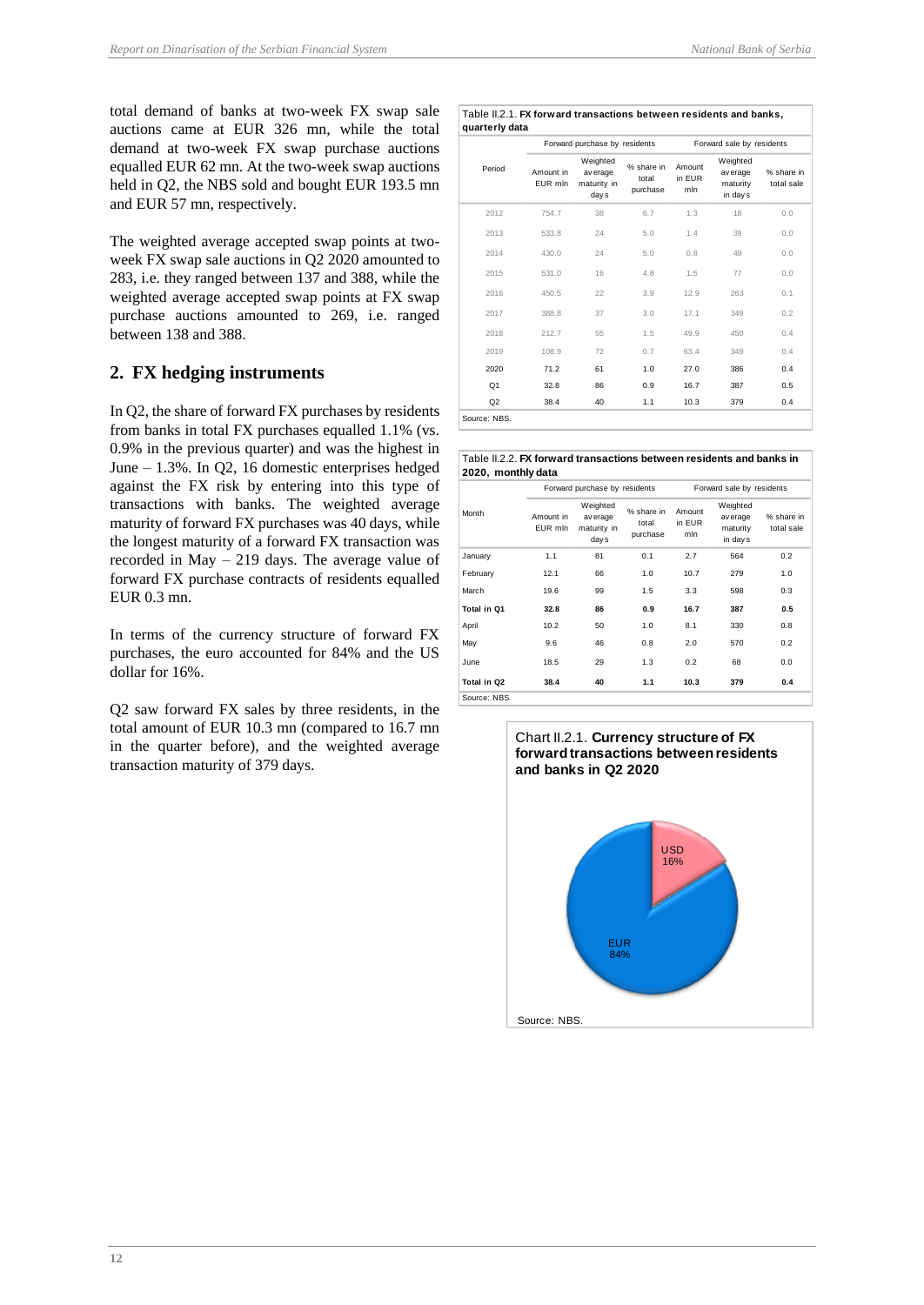total demand of banks at two-week FX swap sale auctions came at EUR 326 mn, while the total demand at two-week FX swap purchase auctions equalled EUR 62 mn. At the two-week swap auctions held in Q2, the NBS sold and bought EUR 193.5 mn and EUR 57 mn, respectively.

The weighted average accepted swap points at twoweek FX swap sale auctions in Q2 2020 amounted to 283, i.e. they ranged between 137 and 388, while the weighted average accepted swap points at FX swap purchase auctions amounted to 269, i.e. ranged between 138 and 388.

## <span id="page-16-0"></span>**2. FX hedging instruments**

In Q2, the share of forward FX purchases by residents from banks in total FX purchases equalled 1.1% (vs. 0.9% in the previous quarter) and was the highest in June – 1.3%. In Q2, 16 domestic enterprises hedged against the FX risk by entering into this type of transactions with banks. The weighted average maturity of forward FX purchases was 40 days, while the longest maturity of a forward FX transaction was recorded in May – 219 days. The average value of forward FX purchase contracts of residents equalled EUR 0.3 mn.

In terms of the currency structure of forward FX purchases, the euro accounted for 84% and the US dollar for 16%.

Q2 saw forward FX sales by three residents, in the total amount of EUR 10.3 mn (compared to 16.7 mn in the quarter before), and the weighted average transaction maturity of 379 days.

#### Table II.2.1. **FX forward transactions between residents and banks, quarterly data**

| quarterly data |                      |                                              |                                 |                           |                                              |                          |  |
|----------------|----------------------|----------------------------------------------|---------------------------------|---------------------------|----------------------------------------------|--------------------------|--|
|                |                      | Forward purchase by residents                |                                 | Forward sale by residents |                                              |                          |  |
| Period         | Amount in<br>EUR mln | Weighted<br>av erage<br>maturity in<br>day s | % share in<br>total<br>purchase | Amount<br>in EUR<br>mln   | Weighted<br>av erage<br>maturity<br>in day s | % share in<br>total sale |  |
| 2012           | 754.7                | 38                                           | 6.7                             | 1.3                       | 18                                           | 0.0                      |  |
| 2013           | 533.8                | 24                                           | 5.0                             | 1.4                       | 39                                           | 0.0                      |  |
| 2014           | 430.0                | 24                                           | 5.0                             | 0.8                       | 49                                           | 0.0                      |  |
| 2015           | 531.0                | 16                                           | 4.8                             | 1.5                       | 77                                           | 0.0                      |  |
| 2016           | 450.5                | 22                                           | 3.9                             | 12.9                      | 263                                          | 0.1                      |  |
| 2017           | 388.8                | 37                                           | 3.0                             | 17.1                      | 349                                          | 0.2                      |  |
| 2018           | 212.7                | 55                                           | 1.5                             | 49.9                      | 450                                          | 0.4                      |  |
| 2019           | 108.9                | 72                                           | 0.7                             | 63.4                      | 349                                          | 0.4                      |  |
| 2020           | 71.2                 | 61                                           | 1.0                             | 27.0                      | 386                                          | 0.4                      |  |
| Q <sub>1</sub> | 32.8                 | 86                                           | 0.9                             | 16.7                      | 387                                          | 0.5                      |  |
| Q2             | 38.4                 | 40                                           | 1.1                             | 10.3                      | 379                                          | 0.4                      |  |
| Source: NBS.   |                      |                                              |                                 |                           |                                              |                          |  |

| Table II.2.2. <b>FX forward transactions between residents and banks in</b> |  |  |  |
|-----------------------------------------------------------------------------|--|--|--|
| 2020, monthly data                                                          |  |  |  |

| 2020, monthly data |                      |                                              |                                 |                           |                                             |                          |  |
|--------------------|----------------------|----------------------------------------------|---------------------------------|---------------------------|---------------------------------------------|--------------------------|--|
|                    |                      | Forward purchase by residents                |                                 | Forward sale by residents |                                             |                          |  |
| Month              | Amount in<br>EUR mln | Weighted<br>av erage<br>maturity in<br>day s | % share in<br>total<br>purchase | Amount<br>in EUR<br>mln   | Weighted<br>av erage<br>maturity<br>in days | % share in<br>total sale |  |
| January            | 1.1                  | 81                                           | 0.1                             | 2.7                       | 564                                         | 0.2                      |  |
| February           | 12.1                 | 66                                           | 1.0                             | 10.7                      | 279                                         | 1.0                      |  |
| March              | 19.6                 | 99                                           | 1.5                             | 3.3                       | 598                                         | 0.3                      |  |
| Total in O1        | 32.8                 | 86                                           | 0.9                             | 16.7                      | 387                                         | 0.5                      |  |
| April              | 10.2                 | 50                                           | 1.0                             | 8.1                       | 330                                         | 0.8                      |  |
| May                | 9.6                  | 46                                           | 0.8                             | 2.0                       | 570                                         | 0.2                      |  |
| <b>June</b>        | 18.5                 | 29                                           | 1.3                             | 0.2                       | 68                                          | 0.0                      |  |
| Total in Q2        | 38.4                 | 40                                           | 1.1                             | 10.3                      | 379                                         | 0.4                      |  |
| Source: NBS.       |                      |                                              |                                 |                           |                                             |                          |  |

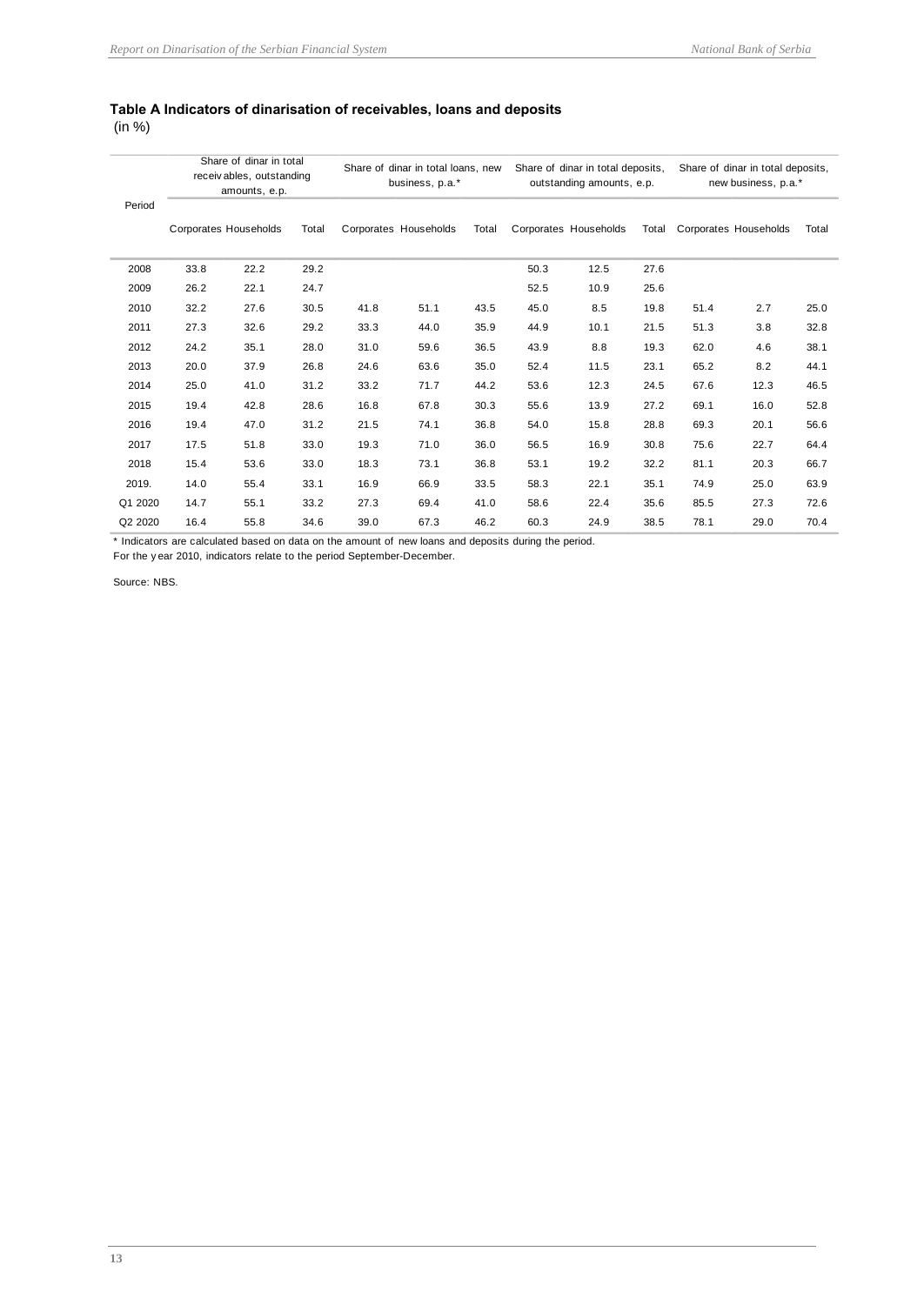## <span id="page-17-0"></span>**Table А Indicators of dinarisation of receivables, loans and deposits**

(in %)

| Period  | Share of dinar in total<br>receivables, outstanding<br>amounts, e.p. |                       | Share of dinar in total loans, new<br>business, p.a.* |      |                       | Share of dinar in total deposits,<br>outstanding amounts, e.p. |      |                       | Share of dinar in total deposits,<br>new business, p.a.* |      |                       |       |
|---------|----------------------------------------------------------------------|-----------------------|-------------------------------------------------------|------|-----------------------|----------------------------------------------------------------|------|-----------------------|----------------------------------------------------------|------|-----------------------|-------|
|         |                                                                      | Corporates Households | Total                                                 |      | Corporates Households | Total                                                          |      | Corporates Households | Total                                                    |      | Corporates Households | Total |
| 2008    | 33.8                                                                 | 22.2                  | 29.2                                                  |      |                       |                                                                | 50.3 | 12.5                  | 27.6                                                     |      |                       |       |
| 2009    | 26.2                                                                 | 22.1                  | 24.7                                                  |      |                       |                                                                | 52.5 | 10.9                  | 25.6                                                     |      |                       |       |
| 2010    | 32.2                                                                 | 27.6                  | 30.5                                                  | 41.8 | 51.1                  | 43.5                                                           | 45.0 | 8.5                   | 19.8                                                     | 51.4 | 2.7                   | 25.0  |
| 2011    | 27.3                                                                 | 32.6                  | 29.2                                                  | 33.3 | 44.0                  | 35.9                                                           | 44.9 | 10.1                  | 21.5                                                     | 51.3 | 3.8                   | 32.8  |
| 2012    | 24.2                                                                 | 35.1                  | 28.0                                                  | 31.0 | 59.6                  | 36.5                                                           | 43.9 | 8.8                   | 19.3                                                     | 62.0 | 4.6                   | 38.1  |
| 2013    | 20.0                                                                 | 37.9                  | 26.8                                                  | 24.6 | 63.6                  | 35.0                                                           | 52.4 | 11.5                  | 23.1                                                     | 65.2 | 8.2                   | 44.1  |
| 2014    | 25.0                                                                 | 41.0                  | 31.2                                                  | 33.2 | 71.7                  | 44.2                                                           | 53.6 | 12.3                  | 24.5                                                     | 67.6 | 12.3                  | 46.5  |
| 2015    | 19.4                                                                 | 42.8                  | 28.6                                                  | 16.8 | 67.8                  | 30.3                                                           | 55.6 | 13.9                  | 27.2                                                     | 69.1 | 16.0                  | 52.8  |
| 2016    | 19.4                                                                 | 47.0                  | 31.2                                                  | 21.5 | 74.1                  | 36.8                                                           | 54.0 | 15.8                  | 28.8                                                     | 69.3 | 20.1                  | 56.6  |
| 2017    | 17.5                                                                 | 51.8                  | 33.0                                                  | 19.3 | 71.0                  | 36.0                                                           | 56.5 | 16.9                  | 30.8                                                     | 75.6 | 22.7                  | 64.4  |
| 2018    | 15.4                                                                 | 53.6                  | 33.0                                                  | 18.3 | 73.1                  | 36.8                                                           | 53.1 | 19.2                  | 32.2                                                     | 81.1 | 20.3                  | 66.7  |
| 2019.   | 14.0                                                                 | 55.4                  | 33.1                                                  | 16.9 | 66.9                  | 33.5                                                           | 58.3 | 22.1                  | 35.1                                                     | 74.9 | 25.0                  | 63.9  |
| Q1 2020 | 14.7                                                                 | 55.1                  | 33.2                                                  | 27.3 | 69.4                  | 41.0                                                           | 58.6 | 22.4                  | 35.6                                                     | 85.5 | 27.3                  | 72.6  |
| Q2 2020 | 16.4                                                                 | 55.8                  | 34.6                                                  | 39.0 | 67.3                  | 46.2                                                           | 60.3 | 24.9                  | 38.5                                                     | 78.1 | 29.0                  | 70.4  |

\* Indicators are calculated based on data on the amount of new loans and deposits during the period.

For the y ear 2010, indicators relate to the period September-December.

Source: NBS.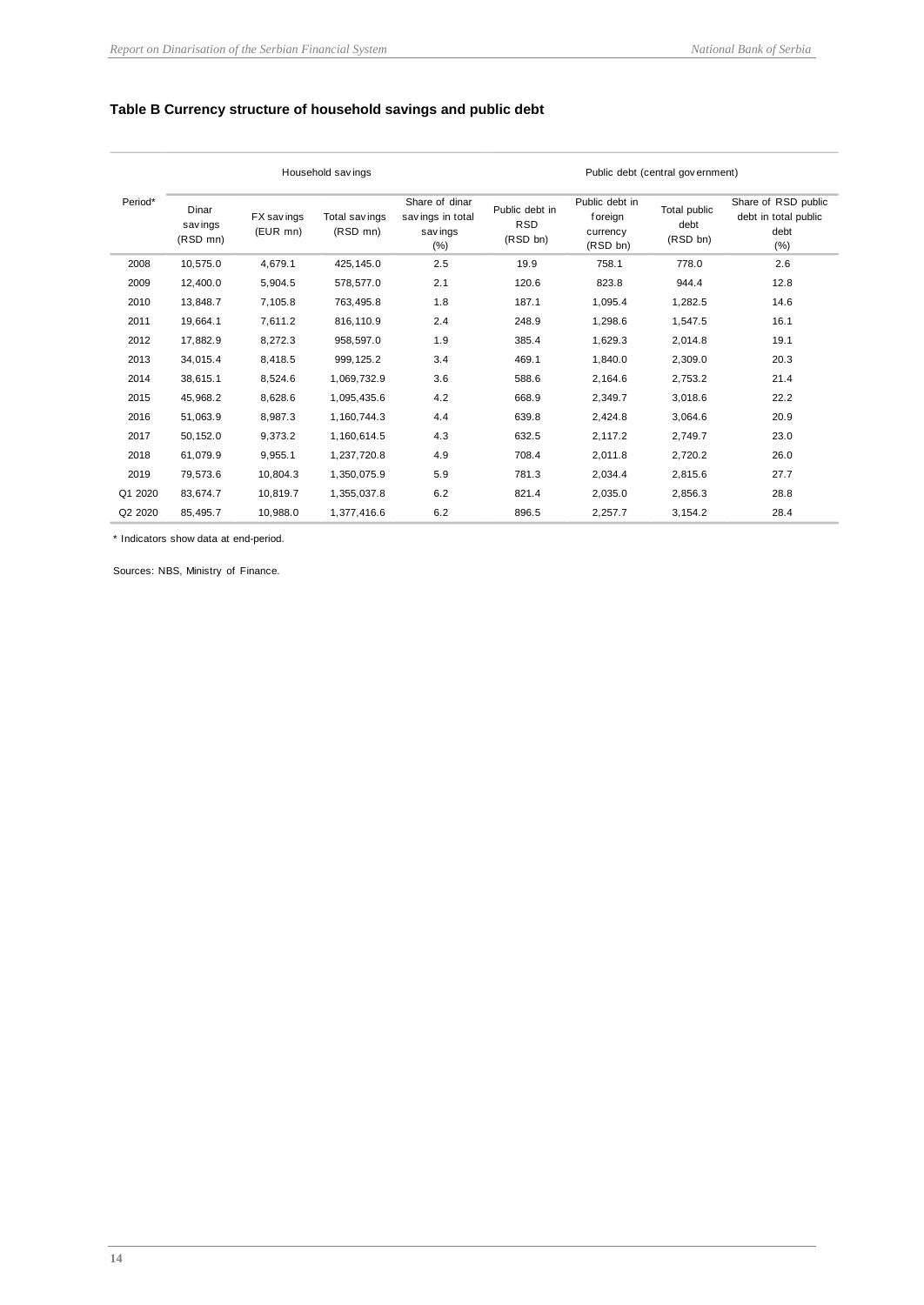## <span id="page-18-0"></span>**Table B Currency structure of household savings and public debt**

|         |                               |                        | Household savings         |                                                        |                                          |                                                   | Public debt (central government) |                                                             |
|---------|-------------------------------|------------------------|---------------------------|--------------------------------------------------------|------------------------------------------|---------------------------------------------------|----------------------------------|-------------------------------------------------------------|
| Period* | Dinar<br>sav ings<br>(RSD mn) | FX savings<br>(EUR mn) | Total savings<br>(RSD mn) | Share of dinar<br>savings in total<br>sav ings<br>(% ) | Public debt in<br><b>RSD</b><br>(RSD bn) | Public debt in<br>foreign<br>currency<br>(RSD bn) | Total public<br>debt<br>(RSD bn) | Share of RSD public<br>debt in total public<br>debt<br>(% ) |
| 2008    | 10,575.0                      | 4,679.1                | 425,145.0                 | 2.5                                                    | 19.9                                     | 758.1                                             | 778.0                            | 2.6                                                         |
| 2009    | 12,400.0                      | 5,904.5                | 578,577.0                 | 2.1                                                    | 120.6                                    | 823.8                                             | 944.4                            | 12.8                                                        |
| 2010    | 13,848.7                      | 7,105.8                | 763,495.8                 | 1.8                                                    | 187.1                                    | 1,095.4                                           | 1,282.5                          | 14.6                                                        |
| 2011    | 19,664.1                      | 7,611.2                | 816,110.9                 | 2.4                                                    | 248.9                                    | 1,298.6                                           | 1,547.5                          | 16.1                                                        |
| 2012    | 17,882.9                      | 8,272.3                | 958,597.0                 | 1.9                                                    | 385.4                                    | 1,629.3                                           | 2,014.8                          | 19.1                                                        |
| 2013    | 34,015.4                      | 8,418.5                | 999, 125.2                | 3.4                                                    | 469.1                                    | 1,840.0                                           | 2,309.0                          | 20.3                                                        |
| 2014    | 38.615.1                      | 8,524.6                | 1,069,732.9               | 3.6                                                    | 588.6                                    | 2,164.6                                           | 2,753.2                          | 21.4                                                        |
| 2015    | 45,968.2                      | 8,628.6                | 1,095,435.6               | 4.2                                                    | 668.9                                    | 2,349.7                                           | 3,018.6                          | 22.2                                                        |
| 2016    | 51,063.9                      | 8,987.3                | 1,160,744.3               | 4.4                                                    | 639.8                                    | 2.424.8                                           | 3,064.6                          | 20.9                                                        |
| 2017    | 50,152.0                      | 9,373.2                | 1,160,614.5               | 4.3                                                    | 632.5                                    | 2.117.2                                           | 2,749.7                          | 23.0                                                        |
| 2018    | 61,079.9                      | 9,955.1                | 1,237,720.8               | 4.9                                                    | 708.4                                    | 2,011.8                                           | 2,720.2                          | 26.0                                                        |
| 2019    | 79,573.6                      | 10,804.3               | 1,350,075.9               | 5.9                                                    | 781.3                                    | 2,034.4                                           | 2,815.6                          | 27.7                                                        |
| Q1 2020 | 83,674.7                      | 10,819.7               | 1,355,037.8               | 6.2                                                    | 821.4                                    | 2,035.0                                           | 2,856.3                          | 28.8                                                        |
| Q2 2020 | 85,495.7                      | 10,988.0               | 1,377,416.6               | 6.2                                                    | 896.5                                    | 2,257.7                                           | 3,154.2                          | 28.4                                                        |

\* Indicators show data at end-period.

Sources: NBS, Ministry of Finance.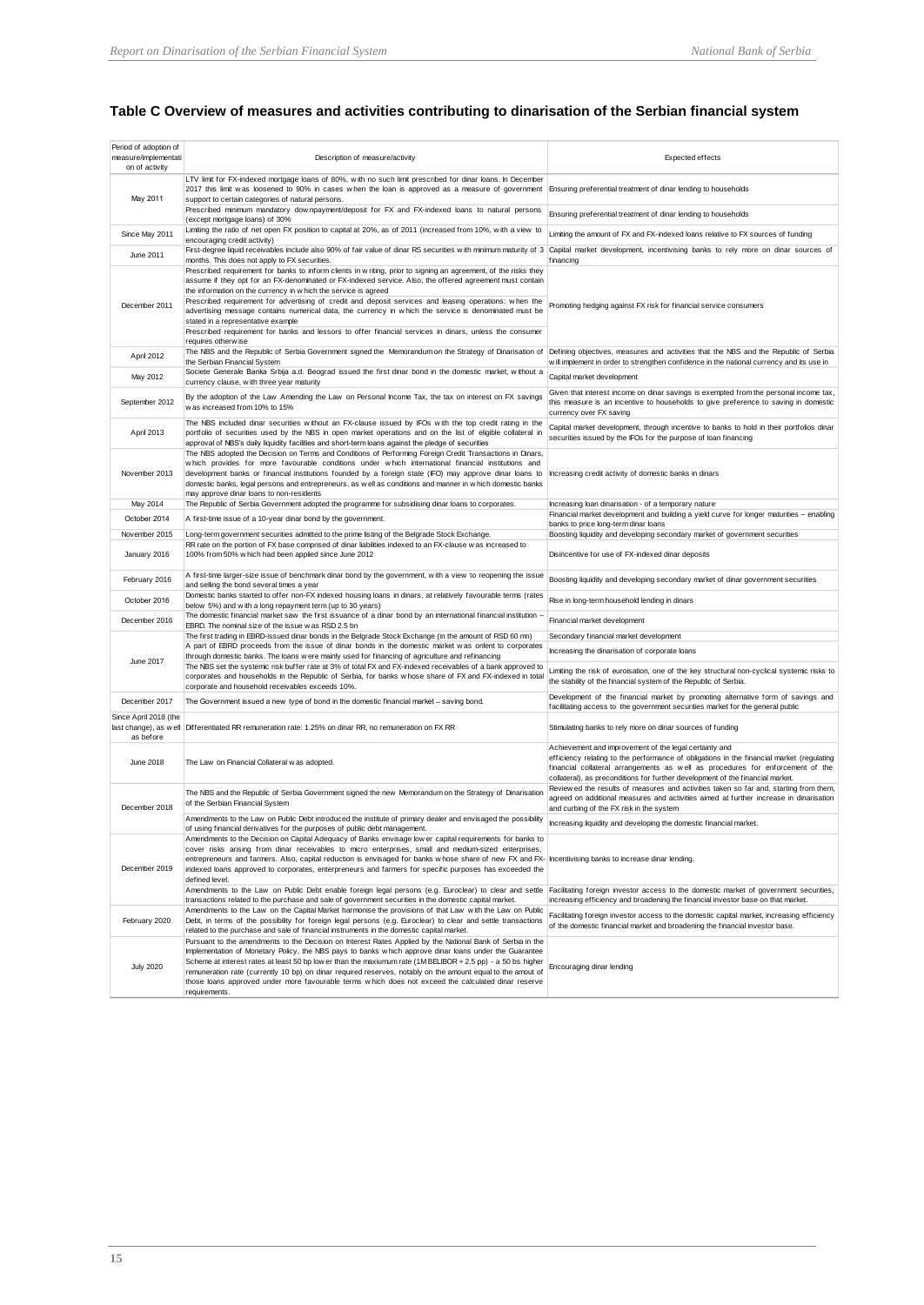## **Table C Overview of measures and activities contributing to dinarisation of the Serbian financial system**

| Period of adoption of<br>measure/implementati<br>on of activity | Description of measure/activity                                                                                                                                                                                                                                                                                                                                                                                                                                                                                                                                                                                                                                                            | Expected effects                                                                                                                                                                                                                                                                                                        |
|-----------------------------------------------------------------|--------------------------------------------------------------------------------------------------------------------------------------------------------------------------------------------------------------------------------------------------------------------------------------------------------------------------------------------------------------------------------------------------------------------------------------------------------------------------------------------------------------------------------------------------------------------------------------------------------------------------------------------------------------------------------------------|-------------------------------------------------------------------------------------------------------------------------------------------------------------------------------------------------------------------------------------------------------------------------------------------------------------------------|
| May 2011                                                        | LTV limit for FX-indexed mortgage loans of 80%, with no such limit prescribed for dinar loans. In December<br>2017 this limit was loosened to 90% in cases when the loan is approved as a measure of government Ensuring preferential treatment of dinar lending to households<br>support to certain categories of natural persons.                                                                                                                                                                                                                                                                                                                                                        |                                                                                                                                                                                                                                                                                                                         |
|                                                                 | Prescribed minimum mandatory downpayment/deposit for FX and FX-indexed loans to natural persons<br>(except mortgage loans) of 30%                                                                                                                                                                                                                                                                                                                                                                                                                                                                                                                                                          | Ensuring preferential treatment of dinar lending to households                                                                                                                                                                                                                                                          |
| Since May 2011                                                  | Limiting the ratio of net open FX position to capital at 20%, as of 2011 (increased from 10%, with a view to<br>encouraging credit activity)                                                                                                                                                                                                                                                                                                                                                                                                                                                                                                                                               | Limiting the amount of FX and FX-indexed loans relative to FX sources of funding                                                                                                                                                                                                                                        |
| June 2011                                                       | First-degree liquid receivables include also 90% of fair value of dinar RS securities with minimum maturity of 3 Capital market development, incentivising banks to rely more on dinar sources of<br>months. This does not apply to FX securities.                                                                                                                                                                                                                                                                                                                                                                                                                                         | financing                                                                                                                                                                                                                                                                                                               |
| December 2011                                                   | Prescribed requirement for banks to inform clients in w riting, prior to signing an agreement, of the risks they<br>assume if they opt for an FX-denominated or FX-indexed service. Also, the offered agreement must contain<br>the information on the currency in w hich the service is agreed<br>Prescribed requirement for advertising of credit and deposit services and leasing operations: when the<br>advertising message contains numerical data, the currency in which the service is denominated must be<br>stated in a representative example<br>Prescribed requirement for banks and lessors to offer financial services in dinars, unless the consumer<br>requires otherw ise | Promoting hedging against FX risk for financial service consumers                                                                                                                                                                                                                                                       |
| April 2012                                                      | The NBS and the Republic of Serbia Government signed the Memorandum on the Strategy of Dinarisation of Defining objectives, measures and activities that the NBS and the Republic of Serbia<br>the Serbian Financial System                                                                                                                                                                                                                                                                                                                                                                                                                                                                | will implement in order to strengthen confidence in the national currency and its use in                                                                                                                                                                                                                                |
| May 2012                                                        | Societe Generale Banka Srbija a.d. Beograd issued the first dinar bond in the domestic market, without a<br>currency clause, with three year maturity                                                                                                                                                                                                                                                                                                                                                                                                                                                                                                                                      | Capital market development                                                                                                                                                                                                                                                                                              |
| September 2012                                                  | By the adoption of the Law Amending the Law on Personal Income Tax, the tax on interest on FX savings<br>w as increased from 10% to 15%                                                                                                                                                                                                                                                                                                                                                                                                                                                                                                                                                    | Given that interest income on dinar savings is exempted from the personal income tax,<br>this measure is an incentive to households to give preference to saving in domestic<br>currency over FX saving                                                                                                                 |
| April 2013                                                      | The NBS included dinar securities without an FX-clause issued by IFOs with the top credit rating in the<br>portfolio of securities used by the NBS in open market operations and on the list of eligible collateral in<br>approval of NBS's daily liquidity facilities and short-term loans against the pledge of securities                                                                                                                                                                                                                                                                                                                                                               | Capital market development, through incentive to banks to hold in their portfolios dinar<br>securities issued by the IFOs for the purpose of loan financing                                                                                                                                                             |
| November 2013                                                   | The NBS adopted the Decision on Terms and Conditions of Performing Foreign Credit Transactions in Dinars,<br>which provides for more favourable conditions under which international financial institutions and<br>development banks or financial institutions founded by a foreign state (IFO) may approve dinar loans to<br>domestic banks, legal persons and entrepreneurs, as w ell as conditions and manner in w hich domestic banks<br>may approve dinar loans to non-residents                                                                                                                                                                                                      | Increasing credit activity of domestic banks in dinars                                                                                                                                                                                                                                                                  |
| May 2014                                                        | The Republic of Serbia Government adopted the programme for subsidising dinar loans to corporates.                                                                                                                                                                                                                                                                                                                                                                                                                                                                                                                                                                                         | Increasing loan dinarisation - of a temporary nature<br>Financial market development and building a yield curve for longer maturities - enabling                                                                                                                                                                        |
| October 2014                                                    | A first-time issue of a 10-year dinar bond by the government.                                                                                                                                                                                                                                                                                                                                                                                                                                                                                                                                                                                                                              | banks to price long-term dinar loans                                                                                                                                                                                                                                                                                    |
| November 2015                                                   | Long-term government securities admitted to the prime listing of the Belgrade Stock Exchange.<br>RR rate on the portion of FX base comprised of dinar liabilities indexed to an FX-clause w as increased to                                                                                                                                                                                                                                                                                                                                                                                                                                                                                | Boosting liquidity and developing secondary market of government securities                                                                                                                                                                                                                                             |
| January 2016                                                    | 100% from 50% w hich had been applied since June 2012                                                                                                                                                                                                                                                                                                                                                                                                                                                                                                                                                                                                                                      | Disincentive for use of FX-indexed dinar deposits                                                                                                                                                                                                                                                                       |
| February 2016                                                   | A first-time larger-size issue of benchmark dinar bond by the government, with a view to reopening the issue<br>and selling the bond several times a year                                                                                                                                                                                                                                                                                                                                                                                                                                                                                                                                  | Boosting liquidity and developing secondary market of dinar government securities                                                                                                                                                                                                                                       |
| October 2016                                                    | Domestic banks started to offer non-FX indexed housing loans in dinars, at relatively favourable terms (rates<br>below 5%) and with a long repayment term (up to 30 years)                                                                                                                                                                                                                                                                                                                                                                                                                                                                                                                 | Rise in long-term household lending in dinars                                                                                                                                                                                                                                                                           |
| December 2016                                                   | The domestic financial market saw the first issuance of a dinar bond by an international financial institution -<br>EBRD. The nominal size of the issue was RSD 2.5 bn                                                                                                                                                                                                                                                                                                                                                                                                                                                                                                                     | Financial market development                                                                                                                                                                                                                                                                                            |
|                                                                 | The first trading in EBRD-issued dinar bonds in the Belgrade Stock Exchange (in the amount of RSD 60 mn)<br>A part of EBRD proceeds from the issue of dinar bonds in the domestic market was onlent to corporates                                                                                                                                                                                                                                                                                                                                                                                                                                                                          | Secondary financial market development                                                                                                                                                                                                                                                                                  |
| June 2017                                                       | through domestic banks. The loans w ere mainly used for financing of agriculture and refinancing                                                                                                                                                                                                                                                                                                                                                                                                                                                                                                                                                                                           | Increasing the dinarisation of corporate loans                                                                                                                                                                                                                                                                          |
|                                                                 | The NBS set the systemic risk buffer rate at 3% of total FX and FX-indexed receivables of a bank approved to<br>corporates and households in the Republic of Serbia, for banks whose share of FX and FX-indexed in total<br>corporate and household receivables exceeds 10%.                                                                                                                                                                                                                                                                                                                                                                                                               | Limiting the risk of euroisation, one of the key structural non-cyclical systemic risks to<br>the stability of the financial system of the Republic of Serbia.                                                                                                                                                          |
| December 2017                                                   | The Government issued a new type of bond in the domestic financial market - saving bond.                                                                                                                                                                                                                                                                                                                                                                                                                                                                                                                                                                                                   | Development of the financial market by promoting alternative form of savings and<br>facilitating access to the government securities market for the general public                                                                                                                                                      |
| Since April 2018 (the<br>as before                              | last change), as well Differentiated RR remuneration rate: 1.25% on dinar RR, no remuneration on FX RR                                                                                                                                                                                                                                                                                                                                                                                                                                                                                                                                                                                     | Stimulating banks to rely more on dinar sources of funding                                                                                                                                                                                                                                                              |
| June 2018                                                       | The Law on Financial Collateral was adopted.                                                                                                                                                                                                                                                                                                                                                                                                                                                                                                                                                                                                                                               | Achievement and improvement of the legal certainty and<br>efficiency relating to the performance of obligations in the financial market (regulating<br>financial collateral arrangements as well as procedures for enforcement of the<br>collateral), as preconditions for further development of the financial market. |
| December 2018                                                   | The NBS and the Republic of Serbia Government signed the new Memorandum on the Strategy of Dinarisation<br>of the Serbian Financial System                                                                                                                                                                                                                                                                                                                                                                                                                                                                                                                                                 | Review ed the results of measures and activities taken so far and, starting from them,<br>agreed on additional measures and activities aimed at further increase in dinarisation<br>and curbing of the FX risk in the system                                                                                            |
|                                                                 | Amendments to the Law on Public Debt introduced the institute of primary dealer and envisaged the possibility<br>of using financial derivatives for the purposes of public debt management.                                                                                                                                                                                                                                                                                                                                                                                                                                                                                                | Increasing liquidity and developing the domestic financial market.                                                                                                                                                                                                                                                      |
|                                                                 | Amendments to the Decision on Capital Adequacy of Banks envisage low er capital requirements for banks to<br>cover risks arising from dinar receivables to micro enterprises, small and medium-sized enterprises,                                                                                                                                                                                                                                                                                                                                                                                                                                                                          |                                                                                                                                                                                                                                                                                                                         |
| December 2019                                                   | entrepreneurs and farmers. Also, capital reduction is envisaged for banks whose share of new FX and FX- Incentivising banks to increase dinar lending.<br>indexed loans approved to corporates, enterpreneurs and farmers for specific purposes has exceeded the                                                                                                                                                                                                                                                                                                                                                                                                                           |                                                                                                                                                                                                                                                                                                                         |
|                                                                 | defined level.<br>Amendments to the Law on Public Debt enable foreign legal persons (e.g. Euroclear) to clear and settle Facilitating foreign investor access to the domestic market of government securities,                                                                                                                                                                                                                                                                                                                                                                                                                                                                             |                                                                                                                                                                                                                                                                                                                         |
|                                                                 | transactions related to the purchase and sale of government securities in the domestic capital market.<br>Amendments to the Law on the Capital Market harmonise the provisions of that Law with the Law on Public                                                                                                                                                                                                                                                                                                                                                                                                                                                                          | increasing efficiency and broadening the financial investor base on that market.                                                                                                                                                                                                                                        |
| February 2020                                                   | Debt, in terms of the possibility for foreign legal persons (e.g. Euroclear) to clear and settle transactions<br>related to the purchase and sale of financial instruments in the domestic capital market.                                                                                                                                                                                                                                                                                                                                                                                                                                                                                 | Facilitating foreign investor access to the domestic capital market, increasing efficiency<br>of the domestic financial market and broadening the financial investor base.                                                                                                                                              |
|                                                                 | Pursuant to the amendments to the Decision on Interest Rates Applied by the National Bank of Serbia in the                                                                                                                                                                                                                                                                                                                                                                                                                                                                                                                                                                                 |                                                                                                                                                                                                                                                                                                                         |
| <b>July 2020</b>                                                | Implementation of Monetary Policy, the NBS pays to banks which approve dinar loans under the Guarantee<br>Scheme at interest rates at least 50 bp low er than the maxiumum rate (1MBELIBOR + 2.5 pp) - a 50 bs higher<br>remuneration rate (currently 10 bp) on dinar required reserves, notably on the amount equal to the amout of<br>those loans approved under more favourable terms which does not exceed the calculated dinar reserve<br>requirements.                                                                                                                                                                                                                               | Encouraging dinar lending                                                                                                                                                                                                                                                                                               |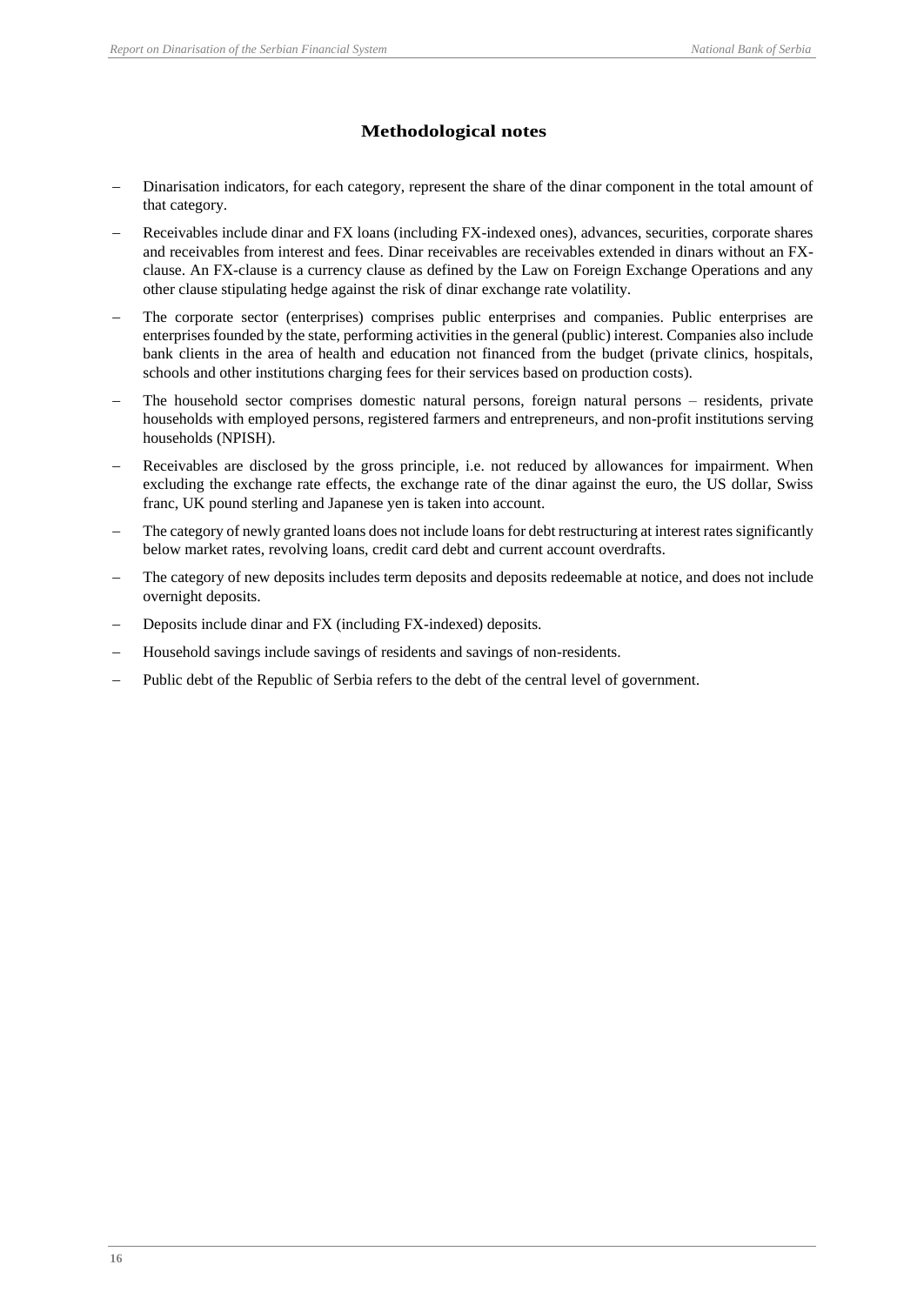## **Methodological notes**

- Dinarisation indicators, for each category, represent the share of the dinar component in the total amount of that category.
- Receivables include dinar and FX loans (including FX-indexed ones), advances, securities, corporate shares and receivables from interest and fees. Dinar receivables are receivables extended in dinars without an FXclause. An FX-clause is a currency clause as defined by the Law on Foreign Exchange Operations and any other clause stipulating hedge against the risk of dinar exchange rate volatility.
- The corporate sector (enterprises) comprises public enterprises and companies. Public enterprises are enterprises founded by the state, performing activities in the general (public) interest. Companies also include bank clients in the area of health and education not financed from the budget (private clinics, hospitals, schools and other institutions charging fees for their services based on production costs).
- The household sector comprises domestic natural persons, foreign natural persons residents, private households with employed persons, registered farmers and entrepreneurs, and non-profit institutions serving households (NPISH).
- Receivables are disclosed by the gross principle, i.e. not reduced by allowances for impairment. When excluding the exchange rate effects, the exchange rate of the dinar against the euro, the US dollar, Swiss franc, UK pound sterling and Japanese yen is taken into account.
- The category of newly granted loans does not include loans for debt restructuring at interest rates significantly below market rates, revolving loans, credit card debt and current account overdrafts.
- The category of new deposits includes term deposits and deposits redeemable at notice, and does not include overnight deposits.
- Deposits include dinar and FX (including FX-indexed) deposits.
- − Household savings include savings of residents and savings of non-residents.
- Public debt of the Republic of Serbia refers to the debt of the central level of government.